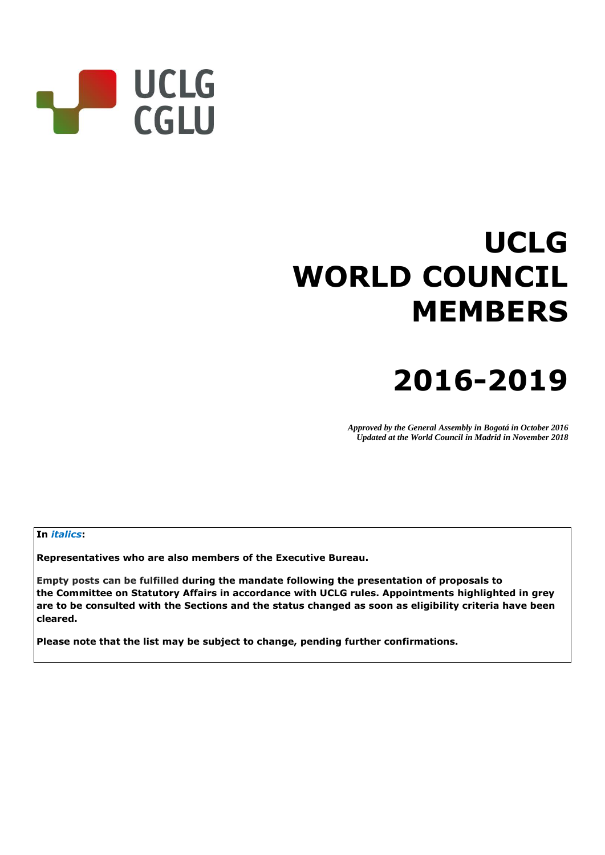

# **UCLG WORLD COUNCIL MEMBERS**

# **2016-2019**

*Approved by the General Assembly in Bogotá in October 2016 Updated at the World Council in Madrid in November 2018*

#### **In** *italics***:**

**Representatives who are also members of the Executive Bureau.**

**Empty posts can be fulfilled during the mandate following the presentation of proposals to the Committee on Statutory Affairs in accordance with UCLG rules. Appointments highlighted in grey are to be consulted with the Sections and the status changed as soon as eligibility criteria have been cleared.**

**Please note that the list may be subject to change, pending further confirmations.**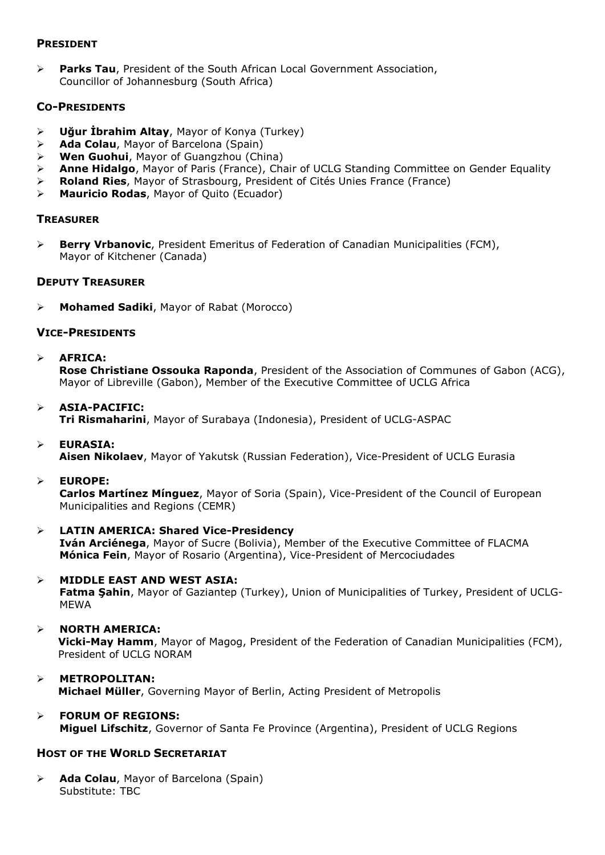#### **PRESIDENT**

 **Parks Tau**, President of the South African Local Government Association, Councillor of Johannesburg (South Africa)

#### **CO-PRESIDENTS**

- **Uğur İbrahim Altay**, Mayor of Konya (Turkey)
- **Ada Colau**, Mayor of Barcelona (Spain)
- **Wen Guohui**, Mayor of Guangzhou (China)
- **Anne Hidalgo**, Mayor of Paris (France), Chair of UCLG Standing Committee on Gender Equality
- **Roland Ries**, Mayor of Strasbourg, President of Cités Unies France (France)
- **Mauricio Rodas**, Mayor of Quito (Ecuador)

#### **TREASURER**

 **Berry Vrbanovic**, President Emeritus of Federation of Canadian Municipalities (FCM), Mayor of Kitchener (Canada)

#### **DEPUTY TREASURER**

**Mohamed Sadiki**, Mayor of Rabat (Morocco)

#### **VICE-PRESIDENTS**

**AFRICA:**

**Rose Christiane Ossouka Raponda**, President of the Association of Communes of Gabon (ACG), Mayor of Libreville (Gabon), Member of the Executive Committee of UCLG Africa

- **ASIA-PACIFIC: Tri Rismaharini**, Mayor of Surabaya (Indonesia), President of UCLG-ASPAC
- **EURASIA: Aisen Nikolaev**, Mayor of Yakutsk (Russian Federation), Vice-President of UCLG Eurasia
- **EUROPE:**

**Carlos Martínez Mínguez**, Mayor of Soria (Spain), Vice-President of the Council of European Municipalities and Regions (CEMR)

- **LATIN AMERICA: Shared Vice-Presidency Iván Arciénega**, Mayor of Sucre (Bolivia), Member of the Executive Committee of FLACMA **Mónica Fein**, Mayor of Rosario (Argentina), Vice-President of Mercociudades
- **MIDDLE EAST AND WEST ASIA: Fatma Şahin**, Mayor of Gaziantep (Turkey), Union of Municipalities of Turkey, President of UCLG-MEWA
- **NORTH AMERICA: Vicki-May Hamm**, Mayor of Magog, President of the Federation of Canadian Municipalities (FCM), President of UCLG NORAM
- **METROPOLITAN: Michael Müller**, Governing Mayor of Berlin, Acting President of Metropolis
- **FORUM OF REGIONS: Miguel Lifschitz**, Governor of Santa Fe Province (Argentina), President of UCLG Regions

#### **HOST OF THE WORLD SECRETARIAT**

 **Ada Colau**, Mayor of Barcelona (Spain) Substitute: TBC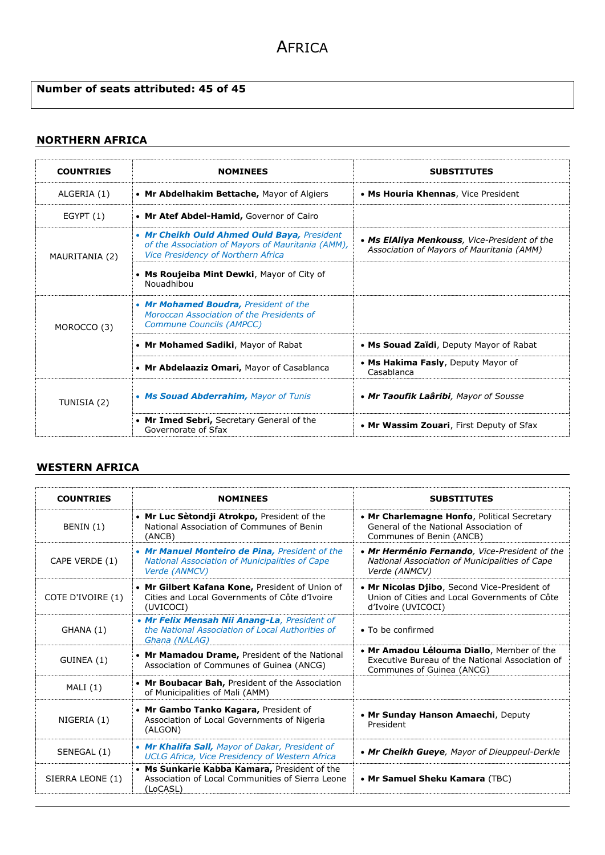#### **Number of seats attributed: 45 of 45**

#### **NORTHERN AFRICA**

| <b>COUNTRIES</b> | <b>NOMINEES</b>                                                                                                                        | <b>SUBSTITUTES</b>                                                                        |
|------------------|----------------------------------------------------------------------------------------------------------------------------------------|-------------------------------------------------------------------------------------------|
| ALGERIA (1)      | • Mr Abdelhakim Bettache, Mayor of Algiers                                                                                             | • Ms Houria Khennas, Vice President                                                       |
| EGYPT(1)         | • Mr Atef Abdel-Hamid, Governor of Cairo                                                                                               |                                                                                           |
| MAURITANIA (2)   | • Mr Cheikh Ould Ahmed Ould Baya, President<br>of the Association of Mayors of Mauritania (AMM),<br>Vice Presidency of Northern Africa | • Ms ElAliya Menkouss, Vice-President of the<br>Association of Mayors of Mauritania (AMM) |
|                  | • Ms Roujeiba Mint Dewki, Mayor of City of<br>Nouadhibou                                                                               |                                                                                           |
| MOROCCO (3)      | • Mr Mohamed Boudra, President of the<br>Moroccan Association of the Presidents of<br><b>Commune Councils (AMPCC)</b>                  |                                                                                           |
|                  | • Mr Mohamed Sadiki, Mayor of Rabat                                                                                                    | • Ms Souad Zaïdi, Deputy Mayor of Rabat                                                   |
|                  | • Mr Abdelaaziz Omari, Mayor of Casablanca                                                                                             | • Ms Hakima Fasly, Deputy Mayor of<br>Casablanca                                          |
| TUNISIA (2)      | • Ms Souad Abderrahim, Mayor of Tunis                                                                                                  | • Mr Taoufik Laâribi, Mayor of Sousse                                                     |
|                  | • Mr Imed Sebri, Secretary General of the<br>Governorate of Sfax                                                                       | • Mr Wassim Zouari, First Deputy of Sfax                                                  |

#### **WESTERN AFRICA**

| <b>COUNTRIES</b>  | <b>NOMINEES</b>                                                                                                          | <b>SUBSTITUTES</b>                                                                                                        |
|-------------------|--------------------------------------------------------------------------------------------------------------------------|---------------------------------------------------------------------------------------------------------------------------|
| BENIN (1)         | • Mr Luc Sètondji Atrokpo, President of the<br>National Association of Communes of Benin<br>(ANCB)                       | • Mr Charlemagne Honfo, Political Secretary<br>General of the National Association of<br>Communes of Benin (ANCB)         |
| CAPE VERDE (1)    | • Mr Manuel Monteiro de Pina, President of the<br><b>National Association of Municipalities of Cape</b><br>Verde (ANMCV) | • Mr Herménio Fernando, Vice-President of the<br>National Association of Municipalities of Cape<br>Verde (ANMCV)          |
| COTE D'IVOIRE (1) | • Mr Gilbert Kafana Kone, President of Union of<br>Cities and Local Governments of Côte d'Ivoire<br>(UVICOCI)            | . Mr Nicolas Djibo, Second Vice-President of<br>Union of Cities and Local Governments of Côte<br>d'Ivoire (UVICOCI)       |
| GHANA (1)         | . Mr Felix Mensah Nii Anang-La, President of<br>the National Association of Local Authorities of<br>Ghana (NALAG)        | • To be confirmed                                                                                                         |
| GUINEA (1)        | • Mr Mamadou Drame, President of the National<br>Association of Communes of Guinea (ANCG)                                | • Mr Amadou Lélouma Diallo, Member of the<br>Executive Bureau of the National Association of<br>Communes of Guinea (ANCG) |
| MALI(1)           | • Mr Boubacar Bah, President of the Association<br>of Municipalities of Mali (AMM)                                       |                                                                                                                           |
| NIGERIA (1)       | • Mr Gambo Tanko Kagara, President of<br>Association of Local Governments of Nigeria<br>(ALGON)                          | • Mr Sunday Hanson Amaechi, Deputy<br>President                                                                           |
| SENEGAL (1)       | • Mr Khalifa Sall, Mayor of Dakar, President of<br><b>UCLG Africa, Vice Presidency of Western Africa</b>                 | • Mr Cheikh Gueye, Mayor of Dieuppeul-Derkle                                                                              |
| SIERRA LEONE (1)  | • Ms Sunkarie Kabba Kamara, President of the<br>Association of Local Communities of Sierra Leone<br>(LoCASL)             | • Mr Samuel Sheku Kamara (TBC)                                                                                            |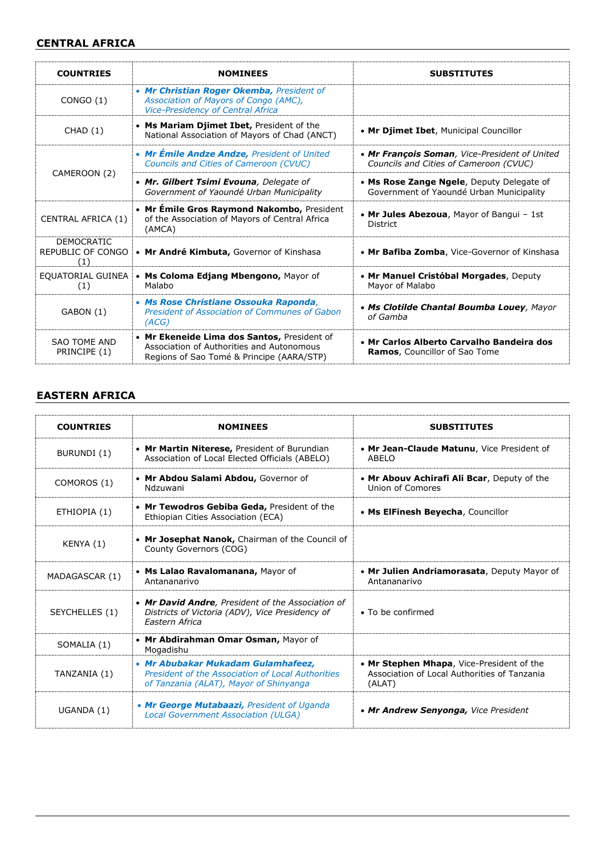#### **CENTRAL AFRICA**

| <b>COUNTRIES</b>                              | <b>NOMINEES</b>                                                                                                                       | <b>SUBSTITUTES</b>                                                                      |
|-----------------------------------------------|---------------------------------------------------------------------------------------------------------------------------------------|-----------------------------------------------------------------------------------------|
| CONGO(1)                                      | • Mr Christian Roger Okemba, President of<br>Association of Mayors of Congo (AMC),<br>Vice-Presidency of Central Africa               |                                                                                         |
| CHAD(1)                                       | • Ms Mariam Djimet Ibet, President of the<br>National Association of Mayors of Chad (ANCT)                                            | • Mr Djimet Ibet, Municipal Councillor                                                  |
|                                               | • Mr Émile Andze Andze, President of United<br>Councils and Cities of Cameroon (CVUC)                                                 | • Mr Francois Soman, Vice-President of United<br>Councils and Cities of Cameroon (CVUC) |
| CAMEROON (2)                                  | • Mr. Gilbert Tsimi Evouna, Delegate of<br>Government of Yaoundé Urban Municipality                                                   | • Ms Rose Zange Ngele, Deputy Delegate of<br>Government of Yaoundé Urban Municipality   |
| CENTRAL AFRICA (1)                            | • Mr Emile Gros Raymond Nakombo, President<br>of the Association of Mayors of Central Africa<br>(AMCA)                                | • Mr Jules Abezoua, Mayor of Bangui - 1st<br><b>District</b>                            |
| <b>DEMOCRATIC</b><br>REPUBLIC OF CONGO<br>(1) | • Mr André Kimbuta, Governor of Kinshasa                                                                                              | • Mr Bafiba Zomba, Vice-Governor of Kinshasa                                            |
| EQUATORIAL GUINEA<br>(1)                      | • Ms Coloma Edjang Mbengono, Mayor of<br>Malabo                                                                                       | • Mr Manuel Cristóbal Morgades, Deputy<br>Mayor of Malabo                               |
| GABON (1)                                     | • Ms Rose Christiane Ossouka Raponda,<br>President of Association of Communes of Gabon<br>(ACG)                                       | • Ms Clotilde Chantal Boumba Louey, Mayor<br>of Gamba                                   |
| <b>SAO TOME AND</b><br>PRINCIPE (1)           | • Mr Ekeneide Lima dos Santos, President of<br>Association of Authorities and Autonomous<br>Regions of Sao Tomé & Principe (AARA/STP) | • Mr Carlos Alberto Carvalho Bandeira dos<br><b>Ramos, Councillor of Sao Tome</b>       |

#### **EASTERN AFRICA**

| <b>COUNTRIES</b> | <b>NOMINEES</b>                                                                                                                   | <b>SUBSTITUTES</b>                                                                                  |
|------------------|-----------------------------------------------------------------------------------------------------------------------------------|-----------------------------------------------------------------------------------------------------|
| BURUNDI (1)      | • Mr Martin Niterese, President of Burundian<br>Association of Local Elected Officials (ABELO)                                    | • Mr Jean-Claude Matunu, Vice President of<br>ABELO                                                 |
| COMOROS (1)      | • Mr Abdou Salami Abdou, Governor of<br>Ndzuwani                                                                                  | • Mr Abouv Achirafi Ali Bcar, Deputy of the<br>Union of Comores                                     |
| ETHIOPIA (1)     | • Mr Tewodros Gebiba Geda, President of the<br>Ethiopian Cities Association (ECA)                                                 | • Ms ElFinesh Beyecha, Councillor                                                                   |
| KENYA (1)        | • Mr Josephat Nanok, Chairman of the Council of<br>County Governors (COG)                                                         |                                                                                                     |
| MADAGASCAR (1)   | • Ms Lalao Ravalomanana, Mayor of<br>Antananarivo                                                                                 | • Mr Julien Andriamorasata, Deputy Mayor of<br>Antananarivo                                         |
| SEYCHELLES (1)   | • Mr David Andre, President of the Association of<br>Districts of Victoria (ADV), Vice Presidency of<br><b>Fastern Africa</b>     | $\bullet$ To be confirmed                                                                           |
| SOMALIA (1)      | • Mr Abdirahman Omar Osman, Mayor of<br>Mogadishu                                                                                 |                                                                                                     |
| TANZANIA (1)     | • Mr Abubakar Mukadam Gulamhafeez,<br>President of the Association of Local Authorities<br>of Tanzania (ALAT), Mayor of Shinyanga | • Mr Stephen Mhapa, Vice-President of the<br>Association of Local Authorities of Tanzania<br>(ALAT) |
| UGANDA (1)       | • Mr George Mutabaazi, President of Uganda<br><b>Local Government Association (ULGA)</b>                                          | • Mr Andrew Senyonga, Vice President                                                                |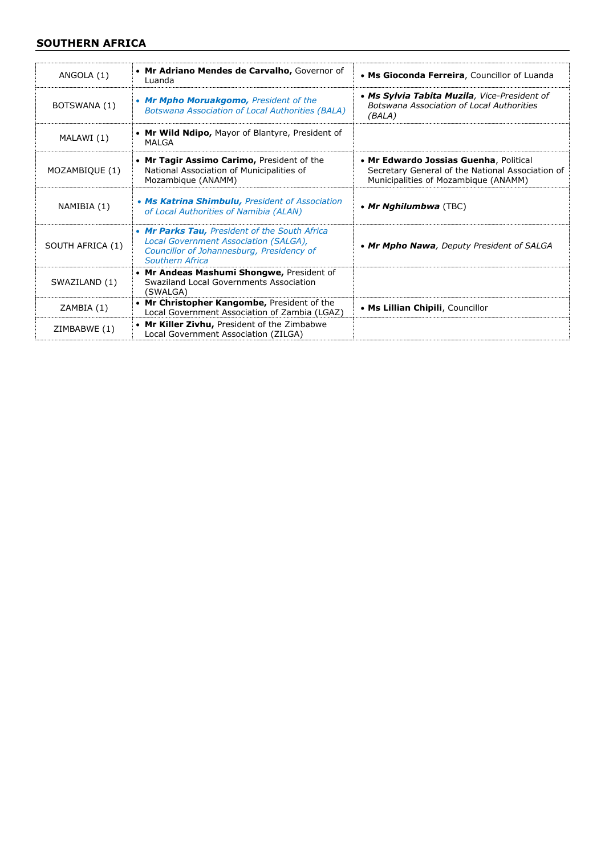#### **SOUTHERN AFRICA**

| ANGOLA (1)       | • Mr Adriano Mendes de Carvalho, Governor of<br>Luanda                                                                                                 | • Ms Gioconda Ferreira, Councillor of Luanda                                                                                       |
|------------------|--------------------------------------------------------------------------------------------------------------------------------------------------------|------------------------------------------------------------------------------------------------------------------------------------|
| BOTSWANA (1)     | • Mr Mpho Moruakgomo, President of the<br><b>Botswana Association of Local Authorities (BALA)</b>                                                      | • Ms Sylvia Tabita Muzila, Vice-President of<br>Botswana Association of Local Authorities<br>(BALA)                                |
| MALAWI (1)       | • Mr Wild Ndipo, Mayor of Blantyre, President of<br>MALGA                                                                                              |                                                                                                                                    |
| MOZAMBIQUE (1)   | • Mr Tagir Assimo Carimo, President of the<br>National Association of Municipalities of<br>Mozambique (ANAMM)                                          | • Mr Edwardo Jossias Guenha, Political<br>Secretary General of the National Association of<br>Municipalities of Mozambique (ANAMM) |
| NAMIBIA (1)      | • Ms Katrina Shimbulu, President of Association<br>of Local Authorities of Namibia (ALAN)                                                              | • Mr Nghilumbwa $(TEC)$                                                                                                            |
| SOUTH AFRICA (1) | • Mr Parks Tau, President of the South Africa<br>Local Government Association (SALGA),<br>Councillor of Johannesburg, Presidency of<br>Southern Africa | • Mr Mpho Nawa, Deputy President of SALGA                                                                                          |
| SWAZILAND (1)    | • Mr Andeas Mashumi Shongwe, President of<br>Swaziland Local Governments Association<br>(SWALGA)                                                       |                                                                                                                                    |
| ZAMBIA (1)       | • Mr Christopher Kangombe, President of the<br>Local Government Association of Zambia (LGAZ)                                                           | • Ms Lillian Chipili, Councillor                                                                                                   |
| ZIMBABWE (1)     | • Mr Killer Zivhu, President of the Zimbabwe<br>Local Government Association (ZILGA)                                                                   |                                                                                                                                    |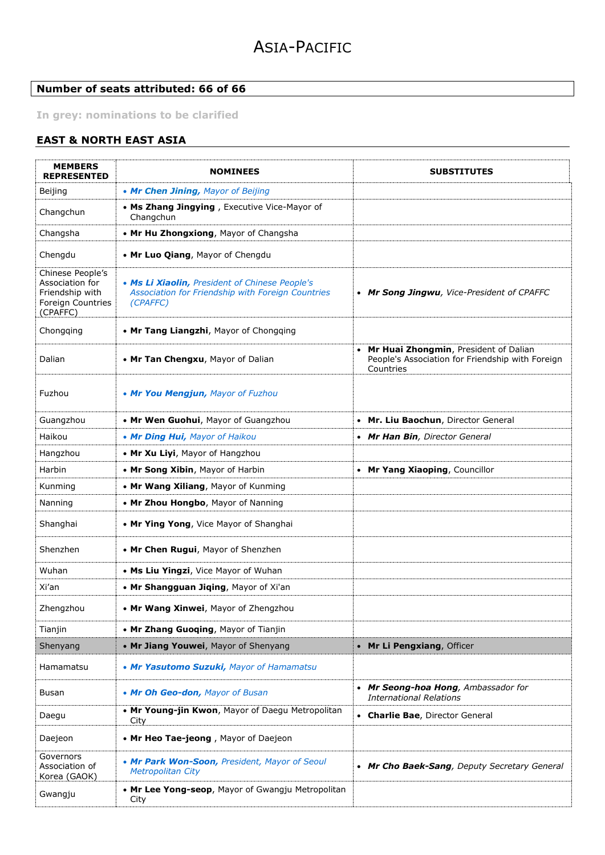#### **Number of seats attributed: 66 of 66**

**In grey: nominations to be clarified**

#### **EAST & NORTH EAST ASIA**

| <b>MEMBERS</b><br><b>REPRESENTED</b>                                                    | <b>NOMINEES</b>                                                                                                 | <b>SUBSTITUTES</b>                                                                                     |
|-----------------------------------------------------------------------------------------|-----------------------------------------------------------------------------------------------------------------|--------------------------------------------------------------------------------------------------------|
| Beijing                                                                                 | • Mr Chen Jining, Mayor of Beijing                                                                              |                                                                                                        |
| Changchun                                                                               | • Ms Zhang Jingying, Executive Vice-Mayor of<br>Changchun                                                       |                                                                                                        |
| Changsha                                                                                | • Mr Hu Zhongxiong, Mayor of Changsha                                                                           |                                                                                                        |
| Chengdu                                                                                 | • Mr Luo Qiang, Mayor of Chengdu                                                                                |                                                                                                        |
| Chinese People's<br>Association for<br>Friendship with<br>Foreign Countries<br>(CPAFFC) | . Ms Li Xiaolin, President of Chinese People's<br>Association for Friendship with Foreign Countries<br>(CPAFFC) | • Mr Song Jingwu, Vice-President of CPAFFC                                                             |
| Chongqing                                                                               | • Mr Tang Liangzhi, Mayor of Chongqing                                                                          |                                                                                                        |
| Dalian                                                                                  | • Mr Tan Chengxu, Mayor of Dalian                                                                               | Mr Huai Zhongmin, President of Dalian<br>People's Association for Friendship with Foreign<br>Countries |
| Fuzhou                                                                                  | • Mr You Mengjun, Mayor of Fuzhou                                                                               |                                                                                                        |
| Guangzhou                                                                               | • Mr Wen Guohui, Mayor of Guangzhou                                                                             | • Mr. Liu Baochun, Director General                                                                    |
| Haikou                                                                                  | • Mr Ding Hui, Mayor of Haikou                                                                                  | • Mr Han Bin, Director General                                                                         |
| Hangzhou                                                                                | • Mr Xu Liyi, Mayor of Hangzhou                                                                                 |                                                                                                        |
| Harbin                                                                                  | • Mr Song Xibin, Mayor of Harbin                                                                                | • Mr Yang Xiaoping, Councillor                                                                         |
| Kunming                                                                                 | • Mr Wang Xiliang, Mayor of Kunming                                                                             |                                                                                                        |
| Nanning                                                                                 | • Mr Zhou Hongbo, Mayor of Nanning                                                                              |                                                                                                        |
| Shanghai                                                                                | • Mr Ying Yong, Vice Mayor of Shanghai                                                                          |                                                                                                        |
| Shenzhen                                                                                | • Mr Chen Rugui, Mayor of Shenzhen                                                                              |                                                                                                        |
| Wuhan                                                                                   | • Ms Liu Yingzi, Vice Mayor of Wuhan                                                                            |                                                                                                        |
| Xi'an                                                                                   | . Mr Shangguan Jiqing, Mayor of Xi'an                                                                           |                                                                                                        |
| Zhengzhou                                                                               | • Mr Wang Xinwei, Mayor of Zhengzhou                                                                            |                                                                                                        |
| Tianjin                                                                                 | • Mr Zhang Guoqing, Mayor of Tianjin                                                                            |                                                                                                        |
| Shenyang                                                                                | • Mr Jiang Youwei, Mayor of Shenyang                                                                            | • Mr Li Pengxiang, Officer                                                                             |
| Hamamatsu                                                                               | • Mr Yasutomo Suzuki, Mayor of Hamamatsu                                                                        |                                                                                                        |
| <b>Busan</b>                                                                            | • Mr Oh Geo-don, Mayor of Busan                                                                                 | • Mr Seong-hoa Hong, Ambassador for<br><b>International Relations</b>                                  |
| Daegu                                                                                   | • Mr Young-jin Kwon, Mayor of Daegu Metropolitan<br>City                                                        | • Charlie Bae, Director General                                                                        |
| Daejeon                                                                                 | • Mr Heo Tae-jeong, Mayor of Daejeon                                                                            |                                                                                                        |
| Governors<br>Association of<br>Korea (GAOK)                                             | • Mr Park Won-Soon, President, Mayor of Seoul<br><b>Metropolitan City</b>                                       | • Mr Cho Baek-Sang, Deputy Secretary General                                                           |
| Gwangju                                                                                 | • Mr Lee Yong-seop, Mayor of Gwangju Metropolitan<br>City                                                       |                                                                                                        |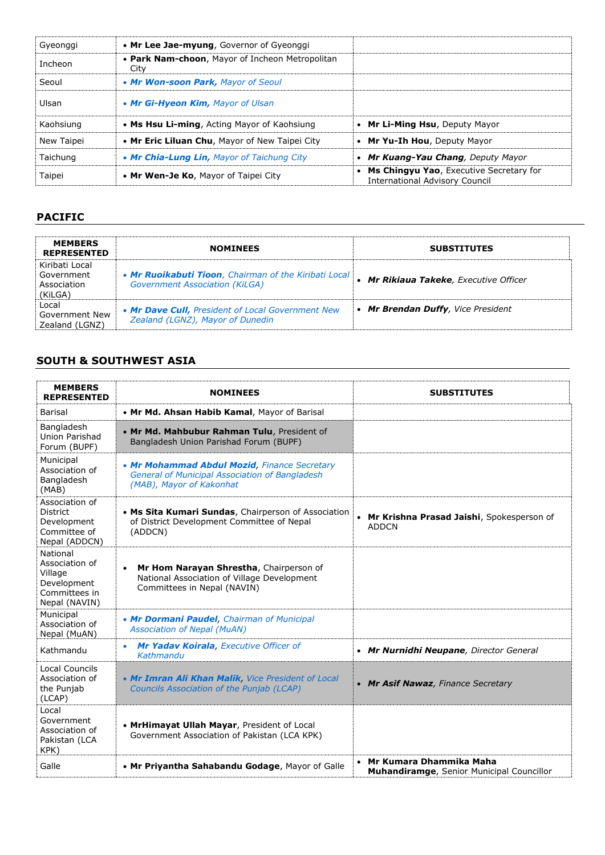| Gyeonggi   | • Mr Lee Jae-myung, Governor of Gyeonggi                |                                                                                  |
|------------|---------------------------------------------------------|----------------------------------------------------------------------------------|
| Incheon    | • Park Nam-choon, Mayor of Incheon Metropolitan<br>City |                                                                                  |
| Seoul      | • Mr Won-soon Park, Mayor of Seoul                      |                                                                                  |
| Ulsan      | • Mr Gi-Hyeon Kim, Mayor of Ulsan                       |                                                                                  |
| Kaohsiung  | • Ms Hsu Li-ming, Acting Mayor of Kaohsiung             | Mr Li-Ming Hsu, Deputy Mayor                                                     |
| New Taipei | . Mr Eric Liluan Chu, Mayor of New Taipei City          | Mr Yu-Ih Hou, Deputy Mayor                                                       |
| Taichung   | • Mr Chia-Lung Lin, Mayor of Taichung City              | Mr Kuang-Yau Chang, Deputy Mayor                                                 |
| Taipei     | • Mr Wen-Je Ko, Mayor of Taipei City                    | Ms Chingyu Yao, Executive Secretary for<br><b>International Advisory Council</b> |

#### **PACIFIC**

| <b>MEMBERS</b><br><b>REPRESENTED</b>                   | <b>NOMINEES</b>                                                                                | <b>SUBSTITUTES</b>                     |
|--------------------------------------------------------|------------------------------------------------------------------------------------------------|----------------------------------------|
| Kiribati Local<br>Government<br>Association<br>(KiLGA) | . Mr Ruoikabuti Tioon, Chairman of the Kiribati Local<br><b>Government Association (KiLGA)</b> | • Mr Rikiaua Takeke, Executive Officer |
| Local<br>Government New<br>Zealand (LGNZ)              | • Mr Dave Cull, President of Local Government New<br>Zealand (LGNZ), Mayor of Dunedin          | • Mr Brendan Duffy, Vice President     |

#### **SOUTH & SOUTHWEST ASIA**

| <b>MEMBERS</b><br><b>REPRESENTED</b>                                                   | <b>NOMINEES</b>                                                                                                                    | <b>SUBSTITUTES</b>                                                     |
|----------------------------------------------------------------------------------------|------------------------------------------------------------------------------------------------------------------------------------|------------------------------------------------------------------------|
| Barisal                                                                                | • Mr Md. Ahsan Habib Kamal, Mayor of Barisal                                                                                       |                                                                        |
| Bangladesh<br>Union Parishad<br>Forum (BUPF)                                           | . Mr Md. Mahbubur Rahman Tulu, President of<br>Bangladesh Union Parishad Forum (BUPF)                                              |                                                                        |
| Municipal<br>Association of<br>Bangladesh<br>(MAB)                                     | • Mr Mohammad Abdul Mozid, Finance Secretary<br><b>General of Municipal Association of Bangladesh</b><br>(MAB), Mayor of Kakonhat  |                                                                        |
| Association of<br><b>District</b><br>Development<br>Committee of<br>Nepal (ADDCN)      | • Ms Sita Kumari Sundas, Chairperson of Association<br>of District Development Committee of Nepal<br>(ADDCN)                       | • Mr Krishna Prasad Jaishi, Spokesperson of<br><b>ADDCN</b>            |
| National<br>Association of<br>Village<br>Development<br>Committees in<br>Nepal (NAVIN) | Mr Hom Narayan Shrestha, Chairperson of<br>$\bullet$<br>National Association of Village Development<br>Committees in Nepal (NAVIN) |                                                                        |
| Municipal<br>Association of<br>Nepal (MuAN)                                            | • Mr Dormani Paudel, Chairman of Municipal<br><b>Association of Nepal (MuAN)</b>                                                   |                                                                        |
| Kathmandu                                                                              | Mr Yadav Koirala, Executive Officer of<br>Kathmandu                                                                                | • Mr Nurnidhi Neupane, Director General                                |
| <b>Local Councils</b><br>Association of<br>the Punjab<br>(LCAP)                        | • Mr Imran Ali Khan Malik, Vice President of Local<br>Councils Association of the Punjab (LCAP)                                    | • Mr Asif Nawaz, Finance Secretary                                     |
| Local<br>Government<br>Association of<br>Pakistan (LCA<br>KPK)                         | • MrHimayat Ullah Mayar, President of Local<br>Government Association of Pakistan (LCA KPK)                                        |                                                                        |
| Galle                                                                                  | . Mr Priyantha Sahabandu Godage, Mayor of Galle                                                                                    | • Mr Kumara Dhammika Maha<br>Muhandiramge, Senior Municipal Councillor |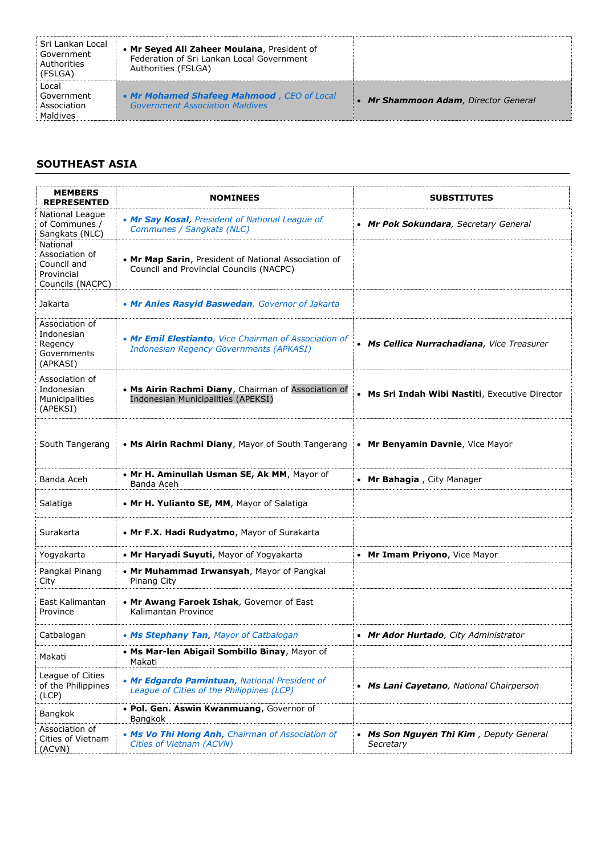| Sri Lankan Local<br>Government<br>Authorities<br>(FSLGA) | • Mr Seyed Ali Zaheer Moulana, President of<br>Federation of Sri Lankan Local Government<br>Authorities (FSLGA) |                                      |
|----------------------------------------------------------|-----------------------------------------------------------------------------------------------------------------|--------------------------------------|
| Local<br>. Government<br>Association<br>Maldives         | • Mr Mohamed Shafeeg Mahmood, CEO of Local<br><b>Government Association Maldives</b>                            | • Mr Shammoon Adam, Director General |

#### **SOUTHEAST ASIA**

| <b>MEMBERS</b><br><b>REPRESENTED</b>                                        | <b>NOMINEES</b>                                                                                         | <b>SUBSTITUTES</b>                                   |
|-----------------------------------------------------------------------------|---------------------------------------------------------------------------------------------------------|------------------------------------------------------|
| National League<br>of Communes /<br>Sangkats (NLC)                          | • Mr Say Kosal, President of National League of<br>Communes / Sangkats (NLC)                            | • Mr Pok Sokundara, Secretary General                |
| National<br>Association of<br>Council and<br>Provincial<br>Councils (NACPC) | • Mr Map Sarin, President of National Association of<br>Council and Provincial Councils (NACPC)         |                                                      |
| Jakarta                                                                     | • Mr Anies Rasyid Baswedan, Governor of Jakarta                                                         |                                                      |
| Association of<br>Indonesian<br>Regency<br>Governments<br>(APKASI)          | • Mr Emil Elestianto, Vice Chairman of Association of<br><b>Indonesian Regency Governments (APKASI)</b> | • Ms Cellica Nurrachadiana, Vice Treasurer           |
| Association of<br>Indonesian<br>Municipalities<br>(APEKSI)                  | • Ms Airin Rachmi Diany, Chairman of Association of<br>Indonesian Municipalities (APEKSI)               | • Ms Sri Indah Wibi Nastiti, Executive Director      |
| South Tangerang                                                             | • Ms Airin Rachmi Diany, Mayor of South Tangerang                                                       | Mr Benyamin Davnie, Vice Mayor<br>$\bullet$          |
| Banda Aceh                                                                  | • Mr H. Aminullah Usman SE, Ak MM, Mayor of<br>Banda Aceh                                               | • Mr Bahagia, City Manager                           |
| Salatiga                                                                    | • Mr H. Yulianto SE, MM, Mayor of Salatiga                                                              |                                                      |
| Surakarta                                                                   | • Mr F.X. Hadi Rudyatmo, Mayor of Surakarta                                                             |                                                      |
| Yogyakarta                                                                  | • Mr Haryadi Suyuti, Mayor of Yogyakarta                                                                | • Mr Imam Priyono, Vice Mayor                        |
| Pangkal Pinang<br>City                                                      | • Mr Muhammad Irwansyah, Mayor of Pangkal<br>Pinang City                                                |                                                      |
| East Kalimantan<br>Province                                                 | • Mr Awang Faroek Ishak, Governor of East<br>Kalimantan Province                                        |                                                      |
| Catbalogan                                                                  | • Ms Stephany Tan, Mayor of Catbalogan                                                                  | • Mr Ador Hurtado, City Administrator                |
| Makati                                                                      | • Ms Mar-len Abigail Sombillo Binay, Mayor of<br>Makati                                                 |                                                      |
| League of Cities<br>of the Philippines<br>(ICP)                             | . Mr Edgardo Pamintuan, National President of<br>League of Cities of the Philippines (LCP)              | • Ms Lani Cayetano, National Chairperson             |
| Bangkok                                                                     | . Pol. Gen. Aswin Kwanmuang, Governor of<br>Bangkok                                                     |                                                      |
| Association of<br>Cities of Vietnam<br>(ACVN)                               | . Ms Vo Thi Hong Anh, Chairman of Association of<br>Cities of Vietnam (ACVN)                            | • Ms Son Nguyen Thi Kim, Deputy General<br>Secretary |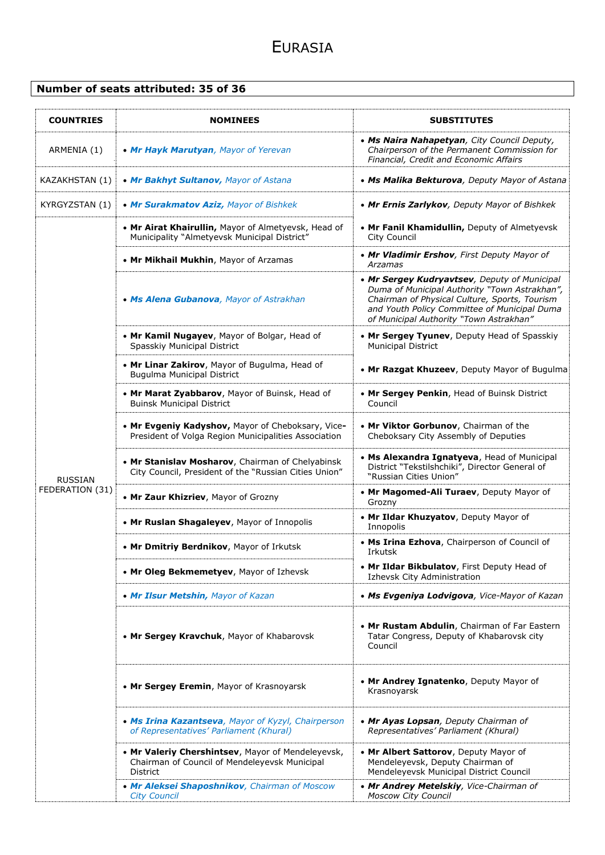#### **Number of seats attributed: 35 of 36**

| <b>COUNTRIES</b> | <b>NOMINEES</b>                                                                                                       | <b>SUBSTITUTES</b>                                                                                                                                                                                                                        |
|------------------|-----------------------------------------------------------------------------------------------------------------------|-------------------------------------------------------------------------------------------------------------------------------------------------------------------------------------------------------------------------------------------|
| ARMENIA (1)      | • Mr Hayk Marutyan, Mayor of Yerevan                                                                                  | • Ms Naira Nahapetyan, City Council Deputy,<br>Chairperson of the Permanent Commission for<br>Financial, Credit and Economic Affairs                                                                                                      |
| KAZAKHSTAN (1)   | • Mr Bakhyt Sultanov, Mayor of Astana                                                                                 | • Ms Malika Bekturova, Deputy Mayor of Astana                                                                                                                                                                                             |
| KYRGYZSTAN (1)   | • Mr Surakmatov Aziz, Mayor of Bishkek                                                                                | • Mr Ernis Zarlykov, Deputy Mayor of Bishkek                                                                                                                                                                                              |
|                  | • Mr Airat Khairullin, Mayor of Almetyevsk, Head of<br>Municipality "Almetyevsk Municipal District"                   | • Mr Fanil Khamidullin, Deputy of Almetyevsk<br><b>City Council</b>                                                                                                                                                                       |
|                  | • Mr Mikhail Mukhin, Mayor of Arzamas                                                                                 | • Mr Vladimir Ershov, First Deputy Mayor of<br>Arzamas                                                                                                                                                                                    |
|                  | • Ms Alena Gubanova, Mayor of Astrakhan                                                                               | • Mr Sergey Kudryavtsev, Deputy of Municipal<br>Duma of Municipal Authority "Town Astrakhan",<br>Chairman of Physical Culture, Sports, Tourism<br>and Youth Policy Committee of Municipal Duma<br>of Municipal Authority "Town Astrakhan" |
|                  | • Mr Kamil Nugayev, Mayor of Bolgar, Head of<br>Spasskiy Municipal District                                           | • Mr Sergey Tyunev, Deputy Head of Spasskiy<br><b>Municipal District</b>                                                                                                                                                                  |
|                  | • Mr Linar Zakirov, Mayor of Bugulma, Head of<br><b>Bugulma Municipal District</b>                                    | • Mr Razgat Khuzeev, Deputy Mayor of Bugulma                                                                                                                                                                                              |
|                  | • Mr Marat Zyabbarov, Mayor of Buinsk, Head of<br><b>Buinsk Municipal District</b>                                    | • Mr Sergey Penkin, Head of Buinsk District<br>Council                                                                                                                                                                                    |
|                  | • Mr Evgeniy Kadyshov, Mayor of Cheboksary, Vice-<br>President of Volga Region Municipalities Association             | • Mr Viktor Gorbunov, Chairman of the<br>Cheboksary City Assembly of Deputies                                                                                                                                                             |
| <b>RUSSIAN</b>   | • Mr Stanislav Mosharov, Chairman of Chelyabinsk<br>City Council, President of the "Russian Cities Union"             | • Ms Alexandra Ignatyeva, Head of Municipal<br>District "Tekstilshchiki", Director General of<br>"Russian Cities Union"                                                                                                                   |
| FEDERATION (31)  | • Mr Zaur Khizriev, Mayor of Grozny                                                                                   | • Mr Magomed-Ali Turaev, Deputy Mayor of<br>Grozny                                                                                                                                                                                        |
|                  | • Mr Ruslan Shagaleyev, Mayor of Innopolis                                                                            | • Mr Ildar Khuzyatov, Deputy Mayor of<br>Innopolis                                                                                                                                                                                        |
|                  | • Mr Dmitriy Berdnikov, Mayor of Irkutsk                                                                              | • Ms Irina Ezhova, Chairperson of Council of<br>Irkutsk                                                                                                                                                                                   |
|                  | • Mr Oleg Bekmemetyev, Mayor of Izhevsk                                                                               | • Mr Ildar Bikbulatov, First Deputy Head of<br>Izhevsk City Administration                                                                                                                                                                |
|                  | • Mr Ilsur Metshin, Mayor of Kazan                                                                                    | • Ms Evgeniya Lodvigova, Vice-Mayor of Kazan                                                                                                                                                                                              |
|                  | • Mr Sergey Kravchuk, Mayor of Khabarovsk                                                                             | • Mr Rustam Abdulin, Chairman of Far Eastern<br>Tatar Congress, Deputy of Khabarovsk city<br>Council                                                                                                                                      |
|                  | • Mr Sergey Eremin, Mayor of Krasnoyarsk                                                                              | • Mr Andrey Ignatenko, Deputy Mayor of<br>Krasnoyarsk                                                                                                                                                                                     |
|                  | • Ms Irina Kazantseva, Mayor of Kyzyl, Chairperson<br>of Representatives' Parliament (Khural)                         | • Mr Ayas Lopsan, Deputy Chairman of<br>Representatives' Parliament (Khural)                                                                                                                                                              |
|                  | • Mr Valeriy Chershintsev, Mayor of Mendeleyevsk,<br>Chairman of Council of Mendeleyevsk Municipal<br><b>District</b> | • Mr Albert Sattorov, Deputy Mayor of<br>Mendeleyevsk, Deputy Chairman of<br>Mendeleyevsk Municipal District Council                                                                                                                      |
|                  | • Mr Aleksei Shaposhnikov, Chairman of Moscow<br><b>City Council</b>                                                  | • Mr Andrey Metelskiy, Vice-Chairman of<br><b>Moscow City Council</b>                                                                                                                                                                     |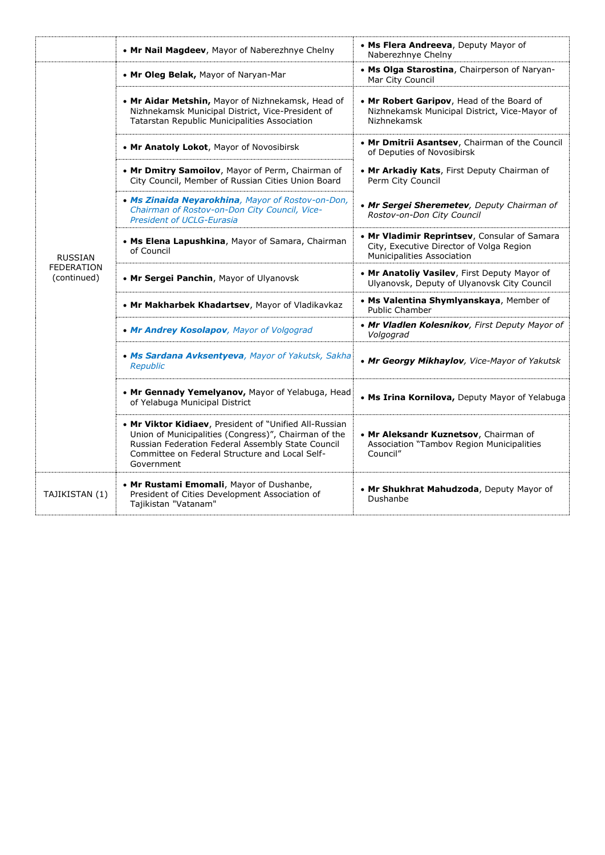|                                  | • Mr Nail Magdeev, Mayor of Naberezhnye Chelny                                                                                                                                                                                      | • Ms Flera Andreeva, Deputy Mayor of<br>Naberezhnye Chelny                                                             |
|----------------------------------|-------------------------------------------------------------------------------------------------------------------------------------------------------------------------------------------------------------------------------------|------------------------------------------------------------------------------------------------------------------------|
|                                  | • Mr Oleg Belak, Mayor of Naryan-Mar                                                                                                                                                                                                | . Ms Olga Starostina, Chairperson of Naryan-<br>Mar City Council                                                       |
|                                  | • Mr Aidar Metshin, Mayor of Nizhnekamsk, Head of<br>Nizhnekamsk Municipal District, Vice-President of<br>Tatarstan Republic Municipalities Association                                                                             | . Mr Robert Garipov, Head of the Board of<br>Nizhnekamsk Municipal District, Vice-Mayor of<br>Nizhnekamsk              |
|                                  | • Mr Anatoly Lokot, Mayor of Novosibirsk                                                                                                                                                                                            | . Mr Dmitrii Asantsev, Chairman of the Council<br>of Deputies of Novosibirsk                                           |
|                                  | . Mr Dmitry Samoilov, Mayor of Perm, Chairman of<br>City Council, Member of Russian Cities Union Board                                                                                                                              | . Mr Arkadiy Kats, First Deputy Chairman of<br>Perm City Council                                                       |
|                                  | • Ms Zinaida Neyarokhina, Mayor of Rostov-on-Don,<br>Chairman of Rostov-on-Don City Council, Vice-<br><b>President of UCLG-Eurasia</b>                                                                                              | • Mr Sergei Sheremetev, Deputy Chairman of<br>Rostov-on-Don City Council                                               |
| <b>RUSSIAN</b>                   | • Ms Elena Lapushkina, Mayor of Samara, Chairman<br>of Council                                                                                                                                                                      | • Mr Vladimir Reprintsev, Consular of Samara<br>City, Executive Director of Volga Region<br>Municipalities Association |
| <b>FEDERATION</b><br>(continued) | • Mr Sergei Panchin, Mayor of Ulyanovsk                                                                                                                                                                                             | . Mr Anatoliy Vasilev, First Deputy Mayor of<br>Ulyanovsk, Deputy of Ulyanovsk City Council                            |
|                                  | • Mr Makharbek Khadartsev, Mayor of Vladikavkaz                                                                                                                                                                                     | • Ms Valentina Shymlyanskaya, Member of<br><b>Public Chamber</b>                                                       |
|                                  | • Mr Andrey Kosolapov, Mayor of Volgograd                                                                                                                                                                                           | • Mr Vladlen Kolesnikov, First Deputy Mayor of<br>Volgograd                                                            |
|                                  | . Ms Sardana Avksentyeva, Mayor of Yakutsk, Sakha<br><b>Republic</b>                                                                                                                                                                | • Mr Georgy Mikhaylov, Vice-Mayor of Yakutsk                                                                           |
|                                  | . Mr Gennady Yemelyanov, Mayor of Yelabuga, Head<br>of Yelabuga Municipal District                                                                                                                                                  | • Ms Irina Kornilova, Deputy Mayor of Yelabuga                                                                         |
|                                  | . Mr Viktor Kidiaev, President of "Unified All-Russian<br>Union of Municipalities (Congress)", Chairman of the<br>Russian Federation Federal Assembly State Council<br>Committee on Federal Structure and Local Self-<br>Government | . Mr Aleksandr Kuznetsov, Chairman of<br>Association "Tambov Region Municipalities<br>Council"                         |
| TAJIKISTAN (1)                   | • Mr Rustami Emomali, Mayor of Dushanbe,<br>President of Cities Development Association of<br>Tajikistan "Vatanam"                                                                                                                  | • Mr Shukhrat Mahudzoda, Deputy Mayor of<br>Dushanbe                                                                   |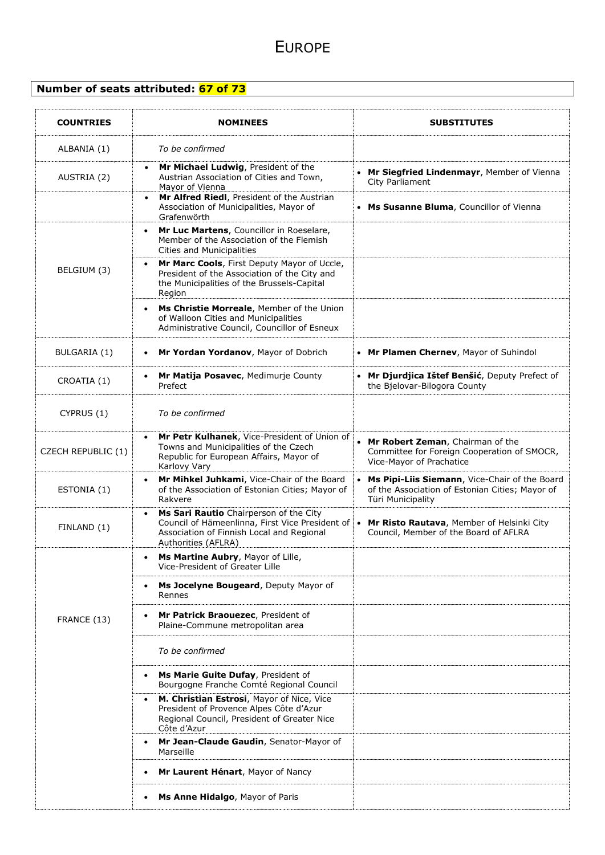#### **Number of seats attributed: 67 of 73**

| <b>COUNTRIES</b>   | <b>NOMINEES</b>                                                                                                                                                            | <b>SUBSTITUTES</b>                                                                                                                 |
|--------------------|----------------------------------------------------------------------------------------------------------------------------------------------------------------------------|------------------------------------------------------------------------------------------------------------------------------------|
| ALBANIA (1)        | To be confirmed                                                                                                                                                            |                                                                                                                                    |
| AUSTRIA (2)        | Mr Michael Ludwig, President of the<br>Austrian Association of Cities and Town,<br>Mayor of Vienna                                                                         | Mr Siegfried Lindenmayr, Member of Vienna<br>City Parliament                                                                       |
|                    | Mr Alfred Riedl, President of the Austrian<br>Association of Municipalities, Mayor of<br>Grafenwörth                                                                       | Ms Susanne Bluma, Councillor of Vienna                                                                                             |
|                    | Mr Luc Martens, Councillor in Roeselare,<br>$\bullet$<br>Member of the Association of the Flemish<br><b>Cities and Municipalities</b>                                      |                                                                                                                                    |
| BELGIUM (3)        | Mr Marc Cools, First Deputy Mayor of Uccle,<br>President of the Association of the City and<br>the Municipalities of the Brussels-Capital<br>Region                        |                                                                                                                                    |
|                    | Ms Christie Morreale, Member of the Union<br>of Walloon Cities and Municipalities<br>Administrative Council, Councillor of Esneux                                          |                                                                                                                                    |
| BULGARIA (1)       | Mr Yordan Yordanov, Mayor of Dobrich<br>$\bullet$                                                                                                                          | • Mr Plamen Chernev, Mayor of Suhindol                                                                                             |
| CROATIA (1)        | Mr Matija Posavec, Medimurje County<br>Prefect                                                                                                                             | Mr Djurdjica Ištef Benšić, Deputy Prefect of<br>the Bjelovar-Bilogora County                                                       |
| CYPRUS (1)         | To be confirmed                                                                                                                                                            |                                                                                                                                    |
| CZECH REPUBLIC (1) | Mr Petr Kulhanek, Vice-President of Union of<br>$\bullet$<br>Towns and Municipalities of the Czech<br>Republic for European Affairs, Mayor of<br>Karlovy Vary              | Mr Robert Zeman, Chairman of the<br>Committee for Foreign Cooperation of SMOCR,<br>Vice-Mayor of Prachatice                        |
| ESTONIA (1)        | Mr Mihkel Juhkami, Vice-Chair of the Board<br>$\bullet$<br>of the Association of Estonian Cities; Mayor of<br>Rakvere                                                      | Ms Pipi-Liis Siemann, Vice-Chair of the Board<br>$\bullet$<br>of the Association of Estonian Cities; Mayor of<br>Türi Municipality |
| FINLAND (1)        | Ms Sari Rautio Chairperson of the City<br>$\bullet$<br>Council of Hämeenlinna, First Vice President of<br>Association of Finnish Local and Regional<br>Authorities (AFLRA) | Mr Risto Rautava, Member of Helsinki City<br>$\bullet$<br>Council, Member of the Board of AFLRA                                    |
|                    | Ms Martine Aubry, Mayor of Lille,<br>Vice-President of Greater Lille                                                                                                       |                                                                                                                                    |
|                    | Ms Jocelyne Bougeard, Deputy Mayor of<br>$\bullet$<br>Rennes                                                                                                               |                                                                                                                                    |
| FRANCE (13)        | Mr Patrick Braouezec, President of<br>Plaine-Commune metropolitan area                                                                                                     |                                                                                                                                    |
|                    | To be confirmed                                                                                                                                                            |                                                                                                                                    |
|                    | Ms Marie Guite Dufay, President of<br>Bourgogne Franche Comté Regional Council                                                                                             |                                                                                                                                    |
|                    | M. Christian Estrosi, Mayor of Nice, Vice<br>$\bullet$<br>President of Provence Alpes Côte d'Azur<br>Regional Council, President of Greater Nice<br>Côte d'Azur            |                                                                                                                                    |
|                    | Mr Jean-Claude Gaudin, Senator-Mayor of<br>Marseille                                                                                                                       |                                                                                                                                    |
|                    | Mr Laurent Hénart, Mayor of Nancy                                                                                                                                          |                                                                                                                                    |
|                    | Ms Anne Hidalgo, Mayor of Paris                                                                                                                                            |                                                                                                                                    |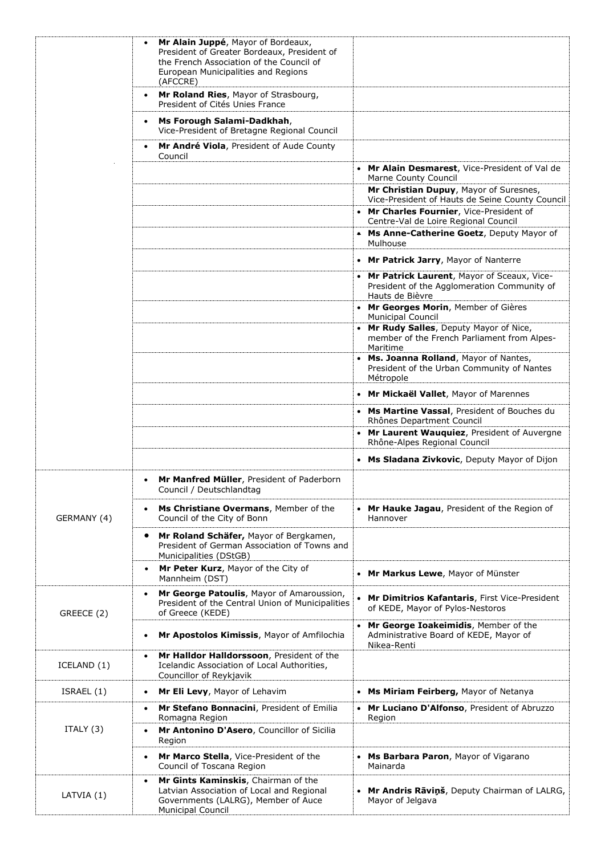|             | Mr Alain Juppé, Mayor of Bordeaux,<br>President of Greater Bordeaux, President of<br>the French Association of the Council of<br>European Municipalities and Regions |                                                                                                                |
|-------------|----------------------------------------------------------------------------------------------------------------------------------------------------------------------|----------------------------------------------------------------------------------------------------------------|
|             | (AFCCRE)<br>Mr Roland Ries, Mayor of Strasbourg,<br>$\bullet$<br>President of Cités Unies France                                                                     |                                                                                                                |
|             | Ms Forough Salami-Dadkhah,<br>$\bullet$<br>Vice-President of Bretagne Regional Council                                                                               |                                                                                                                |
|             | Mr André Viola, President of Aude County<br>Council                                                                                                                  |                                                                                                                |
|             |                                                                                                                                                                      | Mr Alain Desmarest, Vice-President of Val de<br><b>Marne County Council</b>                                    |
|             |                                                                                                                                                                      | Mr Christian Dupuy, Mayor of Suresnes,<br>Vice-President of Hauts de Seine County Council                      |
|             |                                                                                                                                                                      | Mr Charles Fournier, Vice-President of<br>Centre-Val de Loire Regional Council                                 |
|             |                                                                                                                                                                      | • Ms Anne-Catherine Goetz, Deputy Mayor of<br>Mulhouse                                                         |
|             |                                                                                                                                                                      | • Mr Patrick Jarry, Mayor of Nanterre                                                                          |
|             |                                                                                                                                                                      | • Mr Patrick Laurent, Mayor of Sceaux, Vice-<br>President of the Agglomeration Community of<br>Hauts de Bièvre |
|             |                                                                                                                                                                      | • Mr Georges Morin, Member of Gières<br>Municipal Council                                                      |
|             |                                                                                                                                                                      | • Mr Rudy Salles, Deputy Mayor of Nice,<br>member of the French Parliament from Alpes-<br>Maritime             |
|             |                                                                                                                                                                      | • Ms. Joanna Rolland, Mayor of Nantes,<br>President of the Urban Community of Nantes<br>Métropole              |
|             |                                                                                                                                                                      | • Mr Mickaël Vallet, Mayor of Marennes                                                                         |
|             |                                                                                                                                                                      | • Ms Martine Vassal, President of Bouches du<br>Rhônes Department Council                                      |
|             |                                                                                                                                                                      | • Mr Laurent Wauquiez, President of Auvergne<br>Rhône-Alpes Regional Council                                   |
|             |                                                                                                                                                                      | • Ms Sladana Zivkovic, Deputy Mayor of Dijon                                                                   |
|             | Mr Manfred Müller, President of Paderborn<br>Council / Deutschlandtag                                                                                                |                                                                                                                |
| GERMANY (4) | Ms Christiane Overmans, Member of the<br>Council of the City of Bonn                                                                                                 | • Mr Hauke Jagau, President of the Region of<br>Hannover                                                       |
|             | Mr Roland Schäfer, Mayor of Bergkamen,<br>President of German Association of Towns and<br>Municipalities (DStGB)                                                     |                                                                                                                |
|             | Mr Peter Kurz, Mayor of the City of<br>$\bullet$<br>Mannheim (DST)                                                                                                   | • Mr Markus Lewe, Mayor of Münster                                                                             |
| GREECE (2)  | Mr George Patoulis, Mayor of Amaroussion,<br>President of the Central Union of Municipalities<br>of Greece (KEDE)                                                    | Mr Dimitrios Kafantaris, First Vice-President<br>of KEDE, Mayor of Pylos-Nestoros                              |
|             | Mr Apostolos Kimissis, Mayor of Amfilochia                                                                                                                           | Mr George Ioakeimidis, Member of the<br>Administrative Board of KEDE, Mayor of<br>Nikea-Renti                  |
| ICELAND (1) | Mr Halldor Halldorssoon, President of the<br>Icelandic Association of Local Authorities,<br>Councillor of Reykjavik                                                  |                                                                                                                |
| ISRAEL (1)  | Mr Eli Levy, Mayor of Lehavim                                                                                                                                        | • Ms Miriam Feirberg, Mayor of Netanya                                                                         |
|             | Mr Stefano Bonnacini, President of Emilia<br>Romagna Region                                                                                                          | • Mr Luciano D'Alfonso, President of Abruzzo<br>Region                                                         |
| ITALY $(3)$ | Mr Antonino D'Asero, Councillor of Sicilia<br>Region                                                                                                                 |                                                                                                                |
|             | Mr Marco Stella, Vice-President of the<br>$\bullet$<br>Council of Toscana Region                                                                                     | • Ms Barbara Paron, Mayor of Vigarano<br>Mainarda                                                              |
| LATVIA (1)  | Mr Gints Kaminskis, Chairman of the<br>$\bullet$<br>Latvian Association of Local and Regional<br>Governments (LALRG), Member of Auce<br>Municipal Council            | Mr Andris Rāviņš, Deputy Chairman of LALRG,<br>Mayor of Jelgava                                                |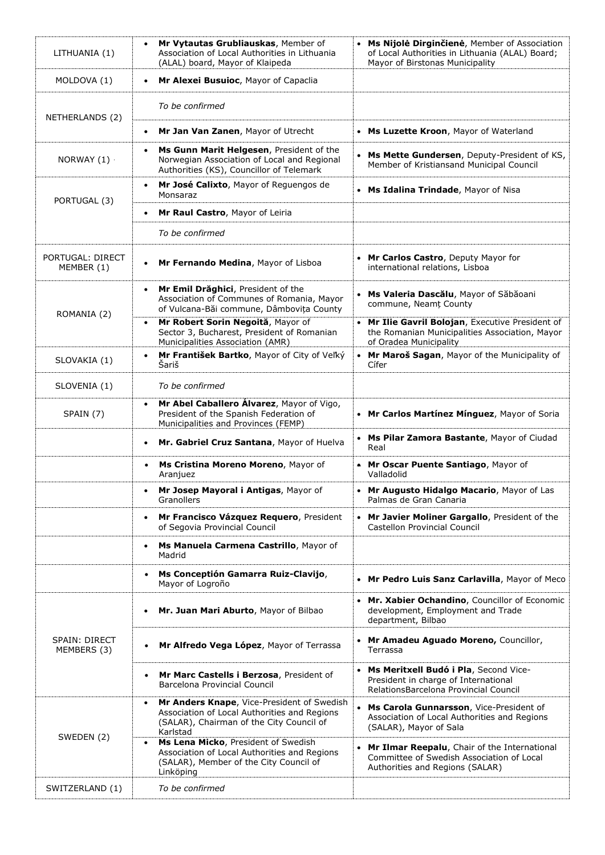| LITHUANIA (1)                  | Mr Vytautas Grubliauskas, Member of<br>$\bullet$<br>Association of Local Authorities in Lithuania<br>(ALAL) board, Mayor of Klaipeda                            | • Ms Nijolė Dirginčienė, Member of Association<br>of Local Authorities in Lithuania (ALAL) Board;<br>Mayor of Birstonas Municipality |
|--------------------------------|-----------------------------------------------------------------------------------------------------------------------------------------------------------------|--------------------------------------------------------------------------------------------------------------------------------------|
| MOLDOVA (1)                    | Mr Alexei Busuioc, Mayor of Capaclia<br>$\bullet$                                                                                                               |                                                                                                                                      |
| NETHERLANDS (2)                | To be confirmed                                                                                                                                                 |                                                                                                                                      |
|                                | Mr Jan Van Zanen, Mayor of Utrecht<br>$\bullet$                                                                                                                 | • Ms Luzette Kroon, Mayor of Waterland                                                                                               |
| NORWAY (1)                     | Ms Gunn Marit Helgesen, President of the<br>$\bullet$<br>Norwegian Association of Local and Regional<br>Authorities (KS), Councillor of Telemark                | • Ms Mette Gundersen, Deputy-President of KS,<br>Member of Kristiansand Municipal Council                                            |
| PORTUGAL (3)                   | Mr José Calixto, Mayor of Requengos de<br>$\bullet$<br>Monsaraz                                                                                                 | • Ms Idalina Trindade, Mayor of Nisa                                                                                                 |
|                                | Mr Raul Castro, Mayor of Leiria                                                                                                                                 |                                                                                                                                      |
|                                | To be confirmed                                                                                                                                                 |                                                                                                                                      |
| PORTUGAL: DIRECT<br>MEMBER (1) | Mr Fernando Medina, Mayor of Lisboa<br>$\bullet$                                                                                                                | • Mr Carlos Castro, Deputy Mayor for<br>international relations, Lisboa                                                              |
| ROMANIA (2)                    | Mr Emil Drăghici, President of the<br>$\bullet$<br>Association of Communes of Romania, Mayor<br>of Vulcana-Băi commune, Dâmbovița County                        | Ms Valeria Dascălu, Mayor of Săbăoani<br>commune, Neamt County                                                                       |
|                                | Mr Robert Sorin Negoită, Mayor of<br>Sector 3, Bucharest, President of Romanian<br>Municipalities Association (AMR)                                             | • Mr Ilie Gavril Bolojan, Executive President of<br>the Romanian Municipalities Association, Mayor<br>of Oradea Municipality         |
| SLOVAKIA (1)                   | Mr František Bartko, Mayor of City of Veľký<br>$\bullet$<br>Šariš                                                                                               | • Mr Maroš Sagan, Mayor of the Municipality of<br>Cífer                                                                              |
| SLOVENIA (1)                   | To be confirmed                                                                                                                                                 |                                                                                                                                      |
| SPAIN (7)                      | Mr Abel Caballero Álvarez, Mayor of Vigo,<br>$\bullet$<br>President of the Spanish Federation of<br>Municipalities and Provinces (FEMP)                         | • Mr Carlos Martínez Mínguez, Mayor of Soria                                                                                         |
|                                | Mr. Gabriel Cruz Santana, Mayor of Huelva<br>$\bullet$                                                                                                          | Ms Pilar Zamora Bastante, Mayor of Ciudad<br>Real                                                                                    |
|                                | Ms Cristina Moreno Moreno, Mayor of<br>Aranjuez                                                                                                                 | • Mr Oscar Puente Santiago, Mayor of<br>Valladolid                                                                                   |
|                                | Mr Josep Mayoral i Antigas, Mayor of<br>Granollers                                                                                                              | Mr Augusto Hidalgo Macario, Mayor of Las<br>Palmas de Gran Canaria                                                                   |
|                                | Mr Francisco Vázquez Requero, President<br>$\bullet$<br>of Segovia Provincial Council                                                                           | • Mr Javier Moliner Gargallo, President of the<br>Castellon Provincial Council                                                       |
|                                | Ms Manuela Carmena Castrillo, Mayor of<br>$\bullet$<br>Madrid                                                                                                   |                                                                                                                                      |
|                                | Ms Conceptión Gamarra Ruiz-Clavijo,<br>Mayor of Logroño                                                                                                         | • Mr Pedro Luis Sanz Carlavilla, Mayor of Meco                                                                                       |
|                                | Mr. Juan Mari Aburto, Mayor of Bilbao<br>$\bullet$                                                                                                              | • Mr. Xabier Ochandino, Councillor of Economic<br>development, Employment and Trade<br>department, Bilbao                            |
| SPAIN: DIRECT<br>MEMBERS (3)   | Mr Alfredo Vega López, Mayor of Terrassa                                                                                                                        | • Mr Amadeu Aguado Moreno, Councillor,<br>Terrassa                                                                                   |
|                                | Mr Marc Castells i Berzosa, President of<br>Barcelona Provincial Council                                                                                        | Ms Meritxell Budó i Pla, Second Vice-<br>President in charge of International<br>RelationsBarcelona Provincial Council               |
| SWEDEN (2)                     | Mr Anders Knape, Vice-President of Swedish<br>$\bullet$<br>Association of Local Authorities and Regions<br>(SALAR), Chairman of the City Council of<br>Karlstad | Ms Carola Gunnarsson, Vice-President of<br>Association of Local Authorities and Regions<br>(SALAR), Mayor of Sala                    |
|                                | Ms Lena Micko, President of Swedish<br>Association of Local Authorities and Regions<br>(SALAR), Member of the City Council of<br>Linköping                      | Mr Ilmar Reepalu, Chair of the International<br>Committee of Swedish Association of Local<br>Authorities and Regions (SALAR)         |
| SWITZERLAND (1)                | To be confirmed                                                                                                                                                 |                                                                                                                                      |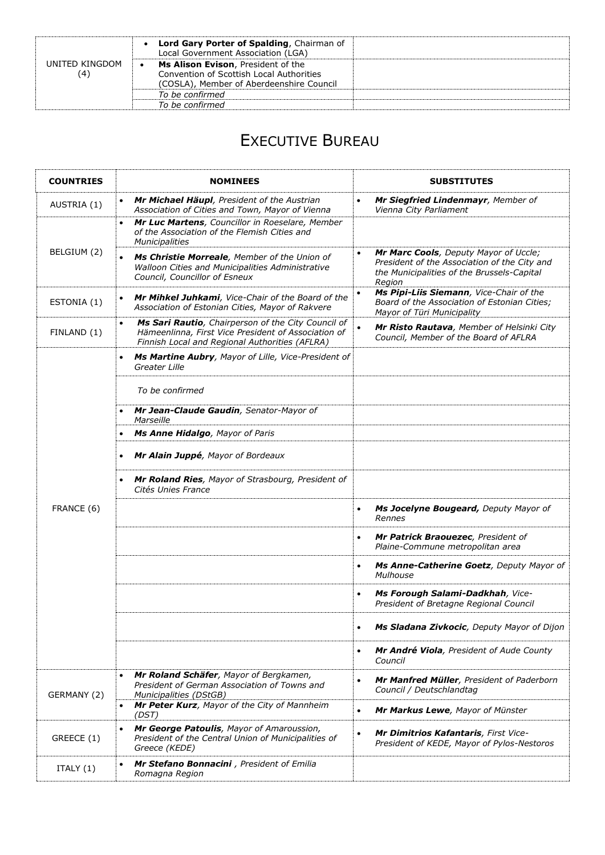|                       | • Lord Gary Porter of Spalding, Chairman of<br>Local Government Association (LGA)                                          |  |
|-----------------------|----------------------------------------------------------------------------------------------------------------------------|--|
| UNITED KINGDOM<br>(4) | Ms Alison Evison, President of the<br>Convention of Scottish Local Authorities<br>(COSLA), Member of Aberdeenshire Council |  |
|                       | To be confirmed                                                                                                            |  |
|                       | To be confirmed                                                                                                            |  |

## EXECUTIVE BUREAU

| <b>COUNTRIES</b> | <b>NOMINEES</b>                                                                                                                                                          | <b>SUBSTITUTES</b>                                                                                                                                         |
|------------------|--------------------------------------------------------------------------------------------------------------------------------------------------------------------------|------------------------------------------------------------------------------------------------------------------------------------------------------------|
| AUSTRIA (1)      | Mr Michael Häupl, President of the Austrian<br>$\bullet$<br>Association of Cities and Town, Mayor of Vienna                                                              | Mr Siegfried Lindenmayr, Member of<br>$\bullet$<br>Vienna City Parliament                                                                                  |
|                  | Mr Luc Martens, Councillor in Roeselare, Member<br>$\bullet$<br>of the Association of the Flemish Cities and<br><b>Municipalities</b>                                    |                                                                                                                                                            |
| BELGIUM (2)      | Ms Christie Morreale, Member of the Union of<br>Walloon Cities and Municipalities Administrative<br>Council, Councillor of Esneux                                        | Mr Marc Cools, Deputy Mayor of Uccle;<br>$\bullet$<br>President of the Association of the City and<br>the Municipalities of the Brussels-Capital<br>Region |
| ESTONIA (1)      | Mr Mihkel Juhkami, Vice-Chair of the Board of the<br>$\bullet$<br>Association of Estonian Cities, Mayor of Rakvere                                                       | Ms Pipi-Liis Siemann, Vice-Chair of the<br>Board of the Association of Estonian Cities;<br>Mayor of Türi Municipality                                      |
| FINLAND (1)      | Ms Sari Rautio, Chairperson of the City Council of<br>$\bullet$<br>Hämeenlinna, First Vice President of Association of<br>Finnish Local and Regional Authorities (AFLRA) | Mr Risto Rautava, Member of Helsinki City<br>$\bullet$<br>Council, Member of the Board of AFLRA                                                            |
|                  | Ms Martine Aubry, Mayor of Lille, Vice-President of<br>$\bullet$<br>Greater Lille                                                                                        |                                                                                                                                                            |
|                  | To be confirmed                                                                                                                                                          |                                                                                                                                                            |
|                  | Mr Jean-Claude Gaudin, Senator-Mayor of<br>Marseille                                                                                                                     |                                                                                                                                                            |
|                  | Ms Anne Hidalgo, Mayor of Paris                                                                                                                                          |                                                                                                                                                            |
|                  | Mr Alain Juppé, Mayor of Bordeaux                                                                                                                                        |                                                                                                                                                            |
|                  | Mr Roland Ries, Mayor of Strasbourg, President of<br>Cités Unies France                                                                                                  |                                                                                                                                                            |
| FRANCE (6)       |                                                                                                                                                                          | Ms Jocelyne Bougeard, Deputy Mayor of<br>$\bullet$<br>Rennes                                                                                               |
|                  |                                                                                                                                                                          | Mr Patrick Braouezec, President of<br>$\bullet$<br>Plaine-Commune metropolitan area                                                                        |
|                  |                                                                                                                                                                          | Ms Anne-Catherine Goetz, Deputy Mayor of<br>Mulhouse                                                                                                       |
|                  |                                                                                                                                                                          | Ms Forough Salami-Dadkhah, Vice-<br>$\bullet$<br>President of Bretagne Regional Council                                                                    |
|                  |                                                                                                                                                                          | Ms Sladana Zivkocic, Deputy Mayor of Dijon                                                                                                                 |
|                  |                                                                                                                                                                          | Mr André Viola, President of Aude County<br>$\bullet$<br>Council                                                                                           |
| GERMANY (2)      | Mr Roland Schäfer, Mayor of Bergkamen,<br>President of German Association of Towns and<br>Municipalities (DStGB)                                                         | Mr Manfred Müller, President of Paderborn<br>$\bullet$<br>Council / Deutschlandtag                                                                         |
|                  | Mr Peter Kurz, Mayor of the City of Mannheim<br>(DST)                                                                                                                    | Mr Markus Lewe, Mayor of Münster<br>$\bullet$                                                                                                              |
| GREECE (1)       | Mr George Patoulis, Mayor of Amaroussion,<br>$\bullet$<br>President of the Central Union of Municipalities of<br>Greece (KEDE)                                           | Mr Dimitrios Kafantaris, First Vice-<br>$\bullet$<br>President of KEDE, Mayor of Pylos-Nestoros                                                            |
| ITALY $(1)$      | Mr Stefano Bonnacini, President of Emilia<br>$\bullet$<br>Romagna Region                                                                                                 |                                                                                                                                                            |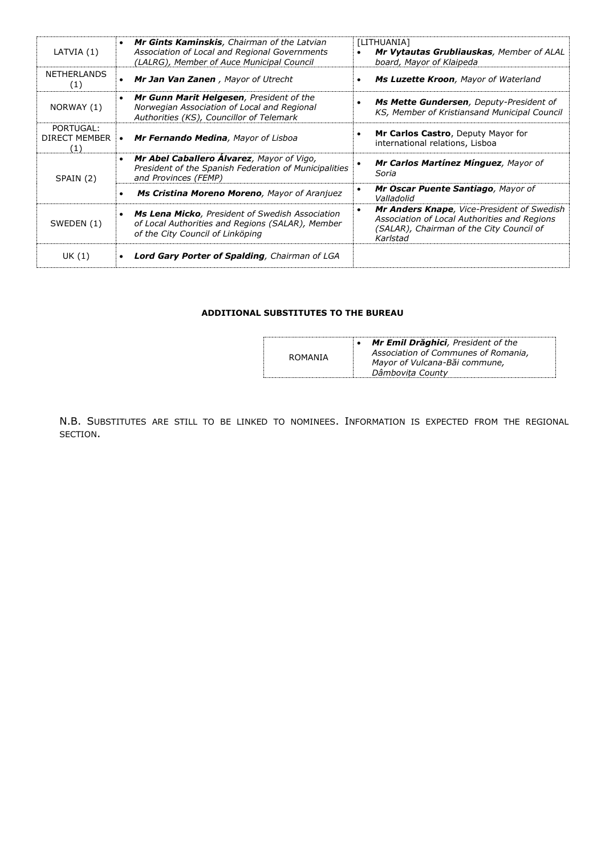| LATVIA(1)                                | <b>Mr Gints Kaminskis</b> , Chairman of the Latvian<br>$\bullet$<br>Association of Local and Regional Governments<br>(LALRG), Member of Auce Municipal Council | [LITHUANIA]<br>Mr Vytautas Grubliauskas, Member of ALAL<br>board, Mayor of Klaipeda                                                                             |
|------------------------------------------|----------------------------------------------------------------------------------------------------------------------------------------------------------------|-----------------------------------------------------------------------------------------------------------------------------------------------------------------|
| <b>NETHERLANDS</b><br>(1)                | Mr Jan Van Zanen, Mayor of Utrecht                                                                                                                             | Ms Luzette Kroon, Mayor of Waterland<br>٠                                                                                                                       |
| NORWAY (1)                               | Mr Gunn Marit Helgesen, President of the<br>Norwegian Association of Local and Regional<br>Authorities (KS), Councillor of Telemark                            | Ms Mette Gundersen, Deputy-President of<br>KS, Member of Kristiansand Municipal Council                                                                         |
| PORTUGAL:<br><b>DIRECT MEMBER</b><br>(1) | Mr Fernando Medina, Mayor of Lisboa<br>$\bullet$                                                                                                               | Mr Carlos Castro, Deputy Mayor for<br>international relations, Lisboa                                                                                           |
| SPAIN (2)                                | Mr Abel Caballero Álvarez, Mayor of Vigo,<br>President of the Spanish Federation of Municipalities<br>and Provinces (FEMP)                                     | Mr Carlos Martínez Mínguez, Mayor of<br>Soria                                                                                                                   |
|                                          | Ms Cristina Moreno Moreno, Mayor of Aranjuez                                                                                                                   | Mr Oscar Puente Santiago, Mayor of<br>٠<br>Valladolid                                                                                                           |
| SWEDEN (1)                               | <b>Ms Lena Micko</b> , President of Swedish Association<br>of Local Authorities and Regions (SALAR), Member<br>of the City Council of Linköping                | Mr Anders Knape, Vice-President of Swedish<br>$\bullet$<br>Association of Local Authorities and Regions<br>(SALAR), Chairman of the City Council of<br>Karlstad |
| UK (1)                                   | Lord Gary Porter of Spalding, Chairman of LGA                                                                                                                  |                                                                                                                                                                 |

#### **ADDITIONAL SUBSTITUTES TO THE BUREAU**

| ROMANIA | Mr Emil Drăghici, President of the<br>Association of Communes of Romania,<br>Mayor of Vulcana-Băi commune,<br>Dâmbovita County |
|---------|--------------------------------------------------------------------------------------------------------------------------------|
|---------|--------------------------------------------------------------------------------------------------------------------------------|

N.B. SUBSTITUTES ARE STILL TO BE LINKED TO NOMINEES. INFORMATION IS EXPECTED FROM THE REGIONAL SECTION.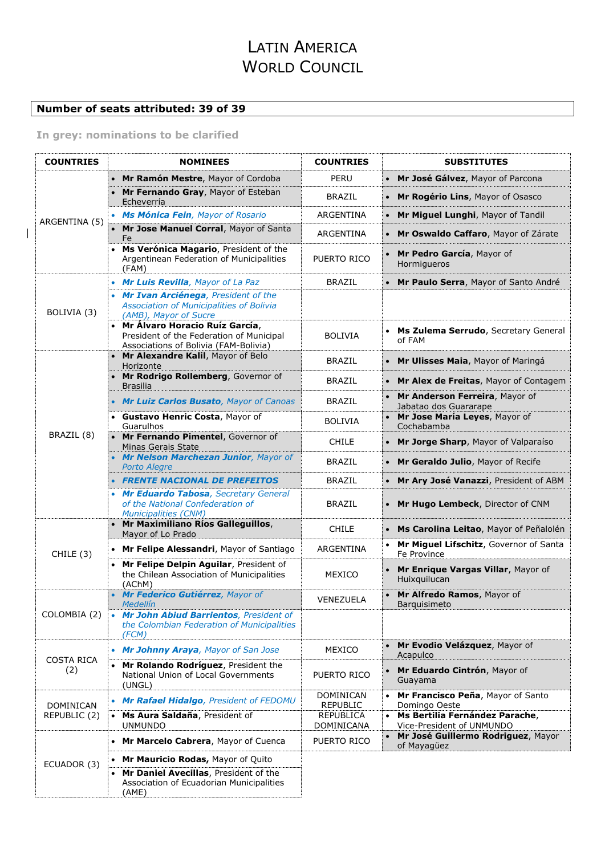## LATIN AMERICA WORLD COUNCIL

#### **Number of seats attributed: 39 of 39**

**In grey: nominations to be clarified**

| <b>COUNTRIES</b>         | <b>NOMINEES</b>                                                                                                                                | <b>COUNTRIES</b>                    |           | <b>SUBSTITUTES</b>                                          |
|--------------------------|------------------------------------------------------------------------------------------------------------------------------------------------|-------------------------------------|-----------|-------------------------------------------------------------|
|                          | • Mr Ramón Mestre, Mayor of Cordoba                                                                                                            | PERU                                |           | Mr José Gálvez, Mayor of Parcona                            |
|                          | • Mr Fernando Gray, Mayor of Esteban<br>Echeverría                                                                                             | <b>BRAZIL</b>                       |           | Mr Rogério Lins, Mayor of Osasco                            |
| ARGENTINA (5)            | • Ms Mónica Fein, Mayor of Rosario                                                                                                             | ARGENTINA                           |           | Mr Miguel Lunghi, Mayor of Tandil                           |
|                          | • Mr Jose Manuel Corral, Mayor of Santa<br>Fe                                                                                                  | ARGENTINA                           |           | Mr Oswaldo Caffaro, Mayor of Zárate                         |
|                          | Ms Verónica Magario, President of the<br>Argentinean Federation of Municipalities<br>(FAM)                                                     | PUERTO RICO                         |           | Mr Pedro García, Mayor of<br>Hormigueros                    |
|                          | • Mr Luis Revilla, Mayor of La Paz                                                                                                             | <b>BRAZIL</b>                       |           | Mr Paulo Serra, Mayor of Santo André                        |
| BOLIVIA (3)              | • Mr Ivan Arciénega, President of the<br>Association of Municipalities of Bolivia<br>(AMB), Mayor of Sucre<br>• Mr Álvaro Horacio Ruíz García, |                                     |           |                                                             |
|                          | President of the Federation of Municipal<br>Associations of Bolivia (FAM-Bolivia)                                                              | <b>BOLIVIA</b>                      |           | Ms Zulema Serrudo, Secretary General<br>of FAM              |
|                          | • Mr Alexandre Kalil, Mayor of Belo<br>Horizonte                                                                                               | <b>BRAZIL</b>                       | $\bullet$ | Mr Ulisses Maia, Mayor of Maringá                           |
|                          | • Mr Rodrigo Rollemberg, Governor of<br><b>Brasilia</b>                                                                                        | <b>BRAZIL</b>                       |           | Mr Alex de Freitas, Mayor of Contagem                       |
|                          | • Mr Luiz Carlos Busato, Mayor of Canoas                                                                                                       | <b>BRAZIL</b>                       |           | Mr Anderson Ferreira, Mayor of<br>Jabatao dos Guararape     |
|                          | • Gustavo Henric Costa, Mayor of<br>Guarulhos                                                                                                  | <b>BOLIVIA</b>                      |           | Mr Jose María Leyes, Mayor of<br>Cochabamba                 |
| BRAZIL (8)               | • Mr Fernando Pimentel, Governor of<br>Minas Gerais State                                                                                      | <b>CHILE</b>                        |           | Mr Jorge Sharp, Mayor of Valparaíso                         |
|                          | • Mr Nelson Marchezan Junior, Mayor of<br><b>Porto Alegre</b>                                                                                  | <b>BRAZIL</b>                       |           | Mr Geraldo Julio, Mayor of Recife                           |
|                          | <b>FRENTE NACIONAL DE PREFEITOS</b>                                                                                                            | <b>BRAZIL</b>                       |           | Mr Ary José Vanazzi, President of ABM                       |
|                          | • Mr Eduardo Tabosa, Secretary General<br>of the National Confederation of<br><b>Municipalities (CNM)</b>                                      | <b>BRAZIL</b>                       |           | Mr Hugo Lembeck, Director of CNM                            |
|                          | • Mr Maximiliano Ríos Galleguillos,<br>Mayor of Lo Prado                                                                                       | <b>CHILE</b>                        |           | Ms Carolina Leitao, Mayor of Peñalolén                      |
| CHILE (3)                | • Mr Felipe Alessandri, Mayor of Santiago                                                                                                      | ARGENTINA                           |           | Mr Miguel Lifschitz, Governor of Santa<br>Fe Province       |
|                          | • Mr Felipe Delpin Aguilar, President of<br>the Chilean Association of Municipalities<br>(AChM)                                                | MEXICO                              |           | Mr Enrique Vargas Villar, Mayor of<br>Huixquilucan          |
|                          | • Mr Federico Gutiérrez, Mayor of<br><b>Medellín</b>                                                                                           | VENEZUELA                           |           | Mr Alfredo Ramos, Mayor of<br><b>Barguisimeto</b>           |
| COLOMBIA (2)             | • Mr John Abiud Barrientos, President of<br>the Colombian Federation of Municipalities<br>(FCM)                                                |                                     |           |                                                             |
|                          | • Mr Johnny Araya, Mayor of San Jose                                                                                                           | MEXICO                              |           | Mr Evodio Velázquez, Mayor of<br>Acapulco                   |
| <b>COSTA RICA</b><br>(2) | • Mr Rolando Rodríguez, President the<br>National Union of Local Governments<br>(UNGL)                                                         | PUERTO RICO                         |           | Mr Eduardo Cintrón, Mayor of<br>Guayama                     |
| DOMINICAN                | • Mr Rafael Hidalgo, President of FEDOMU                                                                                                       | <b>DOMINICAN</b><br><b>REPUBLIC</b> |           | Mr Francisco Peña, Mayor of Santo<br>Domingo Oeste          |
| REPUBLIC (2)             | • Ms Aura Saldaña, President of<br><b>UNMUNDO</b>                                                                                              | <b>REPUBLICA</b><br>DOMINICANA      |           | Ms Bertilia Fernández Parache,<br>Vice-President of UNMUNDO |
|                          | • Mr Marcelo Cabrera, Mayor of Cuenca                                                                                                          | PUERTO RICO                         |           | Mr José Guillermo Rodriguez, Mayor<br>of Mayagüez           |
|                          | • Mr Mauricio Rodas, Mayor of Quito                                                                                                            |                                     |           |                                                             |
| ECUADOR (3)              | Mr Daniel Avecillas, President of the<br>Association of Ecuadorian Municipalities<br>(AME)                                                     |                                     |           |                                                             |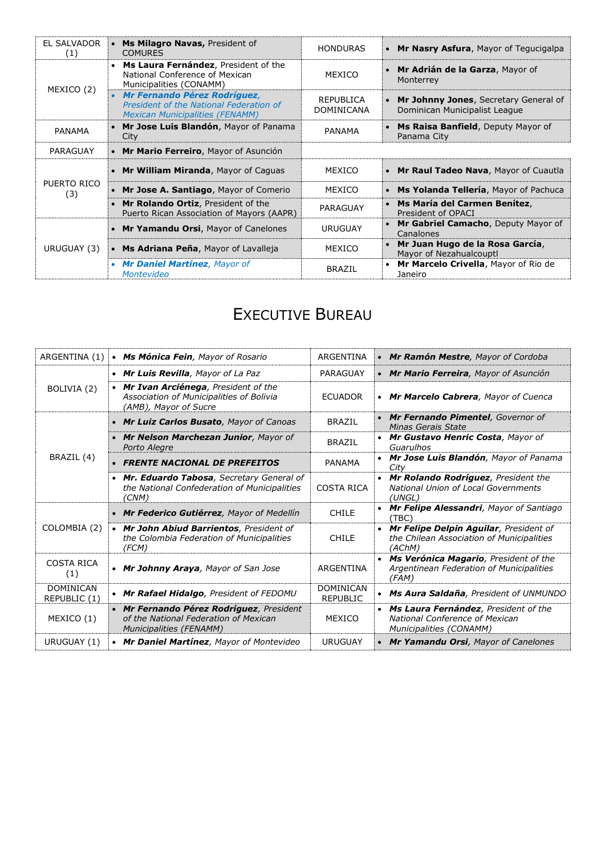| <b>EL SALVADOR</b><br>(1) | • Ms Milagro Navas, President of<br><b>COMURES</b>                                                                  | <b>HONDURAS</b>                       | • Mr Nasry Asfura, Mayor of Tegucigalpa                                |
|---------------------------|---------------------------------------------------------------------------------------------------------------------|---------------------------------------|------------------------------------------------------------------------|
|                           | • Ms Laura Fernández, President of the<br>National Conference of Mexican<br>Municipalities (CONAMM)                 | MEXICO                                | Mr Adrián de la Garza, Mayor of<br>Monterrey                           |
| MEXICO (2)                | • Mr Fernando Pérez Rodríguez,<br>President of the National Federation of<br><b>Mexican Municipalities (FENAMM)</b> | <b>REPUBLICA</b><br><b>DOMINICANA</b> | Mr Johnny Jones, Secretary General of<br>Dominican Municipalist League |
| <b>PANAMA</b>             | • Mr Jose Luis Blandón, Mayor of Panama<br>City                                                                     | PANAMA                                | <b>Ms Raisa Banfield, Deputy Mayor of</b><br>Panama City               |
| PARAGUAY                  | • Mr Mario Ferreiro, Mayor of Asunción                                                                              |                                       |                                                                        |
|                           | • Mr William Miranda, Mayor of Caguas                                                                               | MEXICO                                | • Mr Raul Tadeo Nava, Mayor of Cuautla                                 |
| PUERTO RICO<br>(3)        | • Mr Jose A. Santiago, Mayor of Comerio                                                                             | MEXICO                                | • Ms Yolanda Tellería, Mayor of Pachuca                                |
|                           | Mr Rolando Ortiz, President of the<br>Puerto Rican Association of Mayors (AAPR)                                     | PARAGUAY                              | • Ms María del Carmen Benítez,<br>President of OPACI                   |
| URUGUAY (3)               | • Mr Yamandu Orsi, Mayor of Canelones                                                                               | <b>URUGUAY</b>                        | Mr Gabriel Camacho, Deputy Mayor of<br>Canalones                       |
|                           | • Ms Adriana Peña, Mayor of Lavalleja                                                                               | MEXICO                                | • Mr Juan Hugo de la Rosa García,<br>Mayor of Nezahualcouptl           |
|                           |                                                                                                                     |                                       |                                                                        |

# EXECUTIVE BUREAU

| ARGENTINA (1)                    | • Ms Mónica Fein, Mayor of Rosario                                                                                  | ARGENTINA                           | • Mr Ramón Mestre, Mayor of Cordoba                                                                 |
|----------------------------------|---------------------------------------------------------------------------------------------------------------------|-------------------------------------|-----------------------------------------------------------------------------------------------------|
|                                  | • Mr Luis Revilla, Mayor of La Paz                                                                                  | PARAGUAY                            | • Mr Mario Ferreira, Mayor of Asunción                                                              |
| BOLIVIA (2)                      | • Mr Ivan Arciénega, President of the<br>Association of Municipalities of Bolivia<br>(AMB), Mayor of Sucre          | <b>ECUADOR</b>                      | • Mr Marcelo Cabrera, Mayor of Cuenca                                                               |
|                                  | • Mr Luiz Carlos Busato, Mayor of Canoas                                                                            | <b>BRAZIL</b>                       | • Mr Fernando Pimentel, Governor of<br>Minas Gerais State                                           |
|                                  | • Mr Nelson Marchezan Junior, Mayor of<br>Porto Alegre                                                              | <b>BRAZIL</b>                       | • Mr Gustavo Henric Costa, Mayor of<br>Guarulhos                                                    |
| BRAZIL (4)                       | <b>FRENTE NACIONAL DE PREFEITOS</b><br>$\bullet$                                                                    | <b>PANAMA</b>                       | • Mr Jose Luis Blandón, Mayor of Panama<br>City                                                     |
|                                  | Mr. Eduardo Tabosa, Secretary General of<br>$\bullet$<br>the National Confederation of Municipalities<br>(CNM)      | COSTA RICA                          | • Mr Rolando Rodríquez, President the<br><b>National Union of Local Governments</b><br>(UNGL)       |
|                                  | • Mr Federico Gutiérrez, Mayor of Medellín                                                                          | <b>CHILE</b>                        | • Mr Felipe Alessandri, Mayor of Santiago<br>(TBC)                                                  |
| COLOMBIA (2)                     | • Mr John Abiud Barrientos, President of<br>the Colombia Federation of Municipalities<br>(FCM)                      | <b>CHILE</b>                        | • Mr Felipe Delpin Aguilar, President of<br>the Chilean Association of Municipalities<br>(AChM)     |
| <b>COSTA RICA</b><br>(1)         | • Mr Johnny Araya, Mayor of San Jose                                                                                | ARGENTINA                           | Ms Verónica Magario, President of the<br>Argentinean Federation of Municipalities<br>(FAM)          |
| <b>DOMINICAN</b><br>REPUBLIC (1) | • Mr Rafael Hidalgo, President of FEDOMU                                                                            | <b>DOMINICAN</b><br><b>REPUBLIC</b> | • Ms Aura Saldaña, President of UNMUNDO                                                             |
| MEXICO (1)                       | • Mr Fernando Pérez Rodríguez, President<br>of the National Federation of Mexican<br><b>Municipalities (FENAMM)</b> | MEXICO                              | • Ms Laura Fernández, President of the<br>National Conference of Mexican<br>Municipalities (CONAMM) |
| URUGUAY (1)                      | • Mr Daniel Martínez, Mayor of Montevideo                                                                           | <b>URUGUAY</b>                      | • Mr Yamandu Orsi, Mayor of Canelones                                                               |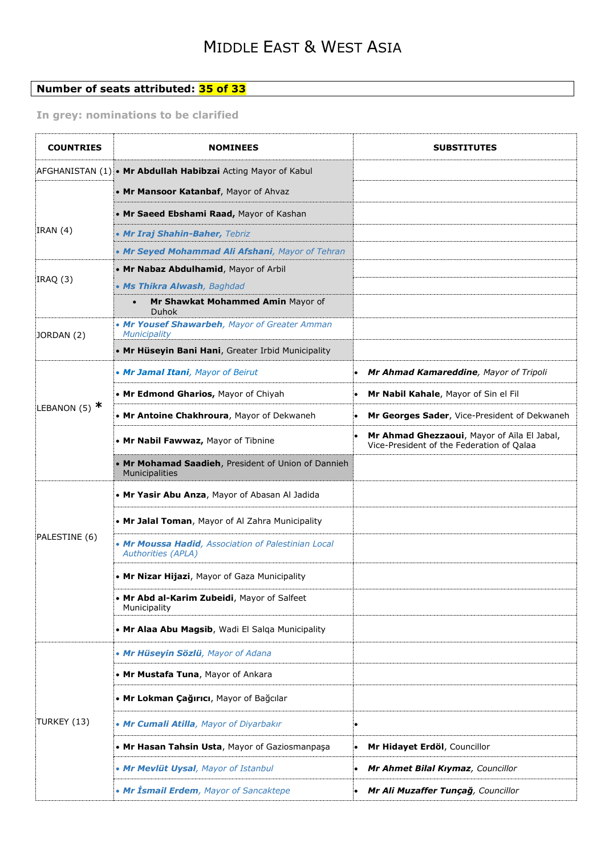#### **Number of seats attributed: 35 of 33**

#### **In grey: nominations to be clarified**

| <b>COUNTRIES</b> | <b>NOMINEES</b>                                                                  | <b>SUBSTITUTES</b>                                                                       |
|------------------|----------------------------------------------------------------------------------|------------------------------------------------------------------------------------------|
|                  | AFGHANISTAN (1) • Mr Abdullah Habibzai Acting Mayor of Kabul                     |                                                                                          |
|                  | • Mr Mansoor Katanbaf, Mayor of Ahvaz                                            |                                                                                          |
|                  | • Mr Saeed Ebshami Raad, Mayor of Kashan                                         |                                                                                          |
| IRAN(4)          | • Mr Iraj Shahin-Baher, Tebriz                                                   |                                                                                          |
|                  | • Mr Seyed Mohammad Ali Afshani, Mayor of Tehran                                 |                                                                                          |
|                  | • Mr Nabaz Abdulhamid, Mayor of Arbil                                            |                                                                                          |
| IRAQ (3)         | • Ms Thikra Alwash, Baghdad                                                      |                                                                                          |
|                  | Mr Shawkat Mohammed Amin Mayor of<br>Duhok                                       |                                                                                          |
| JORDAN (2)       | • Mr Yousef Shawarbeh, Mayor of Greater Amman<br>Municipality                    |                                                                                          |
|                  | . Mr Hüseyin Bani Hani, Greater Irbid Municipality                               |                                                                                          |
|                  | • Mr Jamal Itani, Mayor of Beirut                                                | Mr Ahmad Kamareddine, Mayor of Tripoli                                                   |
|                  | • Mr Edmond Gharios, Mayor of Chiyah                                             | Mr Nabil Kahale, Mayor of Sin el Fil                                                     |
| LEBANON (5) $*$  | . Mr Antoine Chakhroura, Mayor of Dekwaneh                                       | Mr Georges Sader, Vice-President of Dekwaneh                                             |
|                  | • Mr Nabil Fawwaz, Mayor of Tibnine                                              | Mr Ahmad Ghezzaoui, Mayor of Aïla El Jabal,<br>Vice-President of the Federation of Qalaa |
|                  | • Mr Mohamad Saadieh, President of Union of Dannieh<br>Municipalities            |                                                                                          |
|                  | . Mr Yasir Abu Anza, Mayor of Abasan Al Jadida                                   |                                                                                          |
|                  | • Mr Jalal Toman, Mayor of Al Zahra Municipality                                 |                                                                                          |
| PALESTINE (6)    | • Mr Moussa Hadid, Association of Palestinian Local<br><b>Authorities (APLA)</b> |                                                                                          |
|                  | • Mr Nizar Hijazi, Mayor of Gaza Municipality                                    |                                                                                          |
|                  | • Mr Abd al-Karim Zubeidi, Mayor of Salfeet<br>Municipality                      |                                                                                          |
|                  | . Mr Alaa Abu Magsib, Wadi El Salqa Municipality                                 |                                                                                          |
|                  | • Mr Hüseyin Sözlü, Mayor of Adana                                               |                                                                                          |
|                  | • Mr Mustafa Tuna, Mayor of Ankara                                               |                                                                                          |
|                  | • Mr Lokman Çağırıcı, Mayor of Bağcılar                                          |                                                                                          |
| TURKEY (13)      | • Mr Cumali Atilla, Mayor of Diyarbakır                                          | ۰                                                                                        |
|                  | . Mr Hasan Tahsin Usta, Mayor of Gaziosmanpaşa                                   | Mr Hidayet Erdöl, Councillor                                                             |
|                  | • Mr Mevlüt Uysal, Mayor of Istanbul                                             | Mr Ahmet Bilal Kıymaz, Councillor                                                        |
|                  | • Mr İsmail Erdem, Mayor of Sancaktepe                                           | Mr Ali Muzaffer Tunçağ, Councillor                                                       |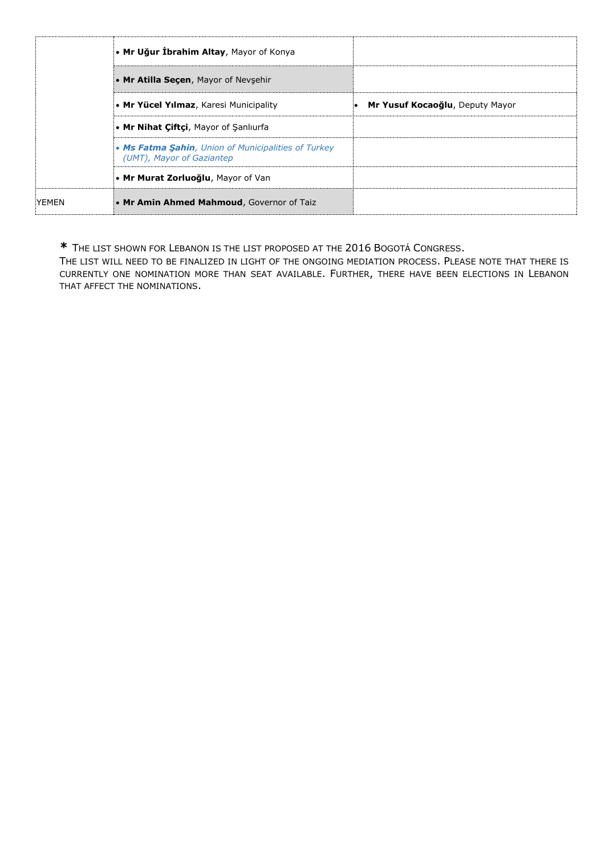|                                      | • Mr Uğur İbrahim Altay, Mayor of Konya                                          |                                 |
|--------------------------------------|----------------------------------------------------------------------------------|---------------------------------|
| • Mr Atilla Secen, Mayor of Nevsehir |                                                                                  |                                 |
|                                      | • Mr Yücel Yılmaz, Karesi Municipality                                           | Mr Yusuf Kocaoğlu, Deputy Mayor |
|                                      | • Mr Nihat Ciftci, Mayor of Sanliurfa                                            |                                 |
|                                      | • Ms Fatma Şahin, Union of Municipalities of Turkey<br>(UMT), Mayor of Gaziantep |                                 |
|                                      | • Mr Murat Zorluoğlu, Mayor of Van                                               |                                 |
| YEMEN                                | • Mr Amin Ahmed Mahmoud, Governor of Taiz                                        |                                 |

**\*** THE LIST SHOWN FOR LEBANON IS THE LIST PROPOSED AT THE 2016 BOGOTÁ CONGRESS.

THE LIST WILL NEED TO BE FINALIZED IN LIGHT OF THE ONGOING MEDIATION PROCESS. PLEASE NOTE THAT THERE IS CURRENTLY ONE NOMINATION MORE THAN SEAT AVAILABLE. FURTHER, THERE HAVE BEEN ELECTIONS IN LEBANON THAT AFFECT THE NOMINATIONS.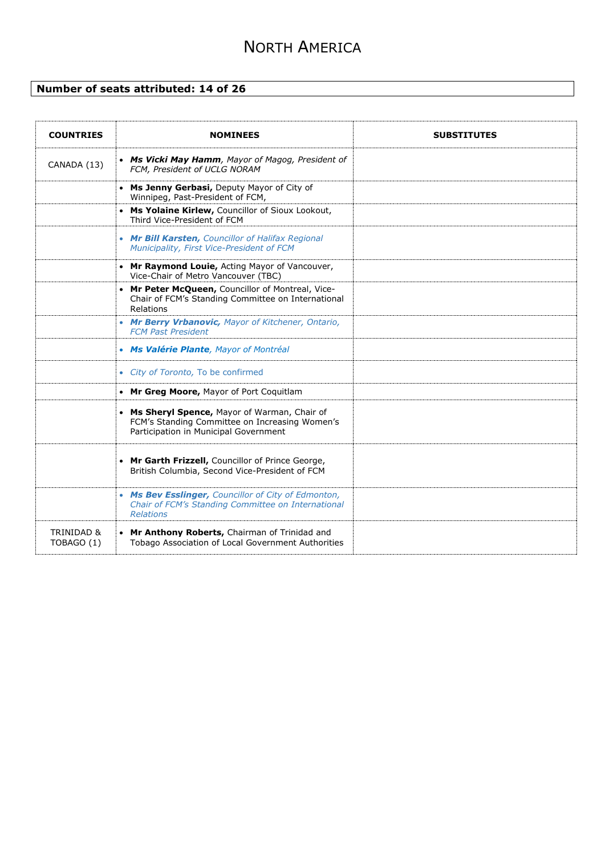## NORTH AMERICA

#### **Number of seats attributed: 14 of 26**

| <b>COUNTRIES</b>         | <b>NOMINEES</b>                                                                                                                          | <b>SUBSTITUTES</b> |
|--------------------------|------------------------------------------------------------------------------------------------------------------------------------------|--------------------|
| CANADA (13)              | • Ms Vicki May Hamm, Mayor of Magog, President of<br>FCM, President of UCLG NORAM                                                        |                    |
|                          | • Ms Jenny Gerbasi, Deputy Mayor of City of<br>Winnipeg, Past-President of FCM,                                                          |                    |
|                          | • Ms Yolaine Kirlew, Councillor of Sioux Lookout,<br>Third Vice-President of FCM                                                         |                    |
|                          | • Mr Bill Karsten, Councillor of Halifax Regional<br>Municipality, First Vice-President of FCM                                           |                    |
|                          | • Mr Raymond Louie, Acting Mayor of Vancouver,<br>Vice-Chair of Metro Vancouver (TBC)                                                    |                    |
|                          | • Mr Peter McQueen, Councillor of Montreal, Vice-<br>Chair of FCM's Standing Committee on International<br>Relations                     |                    |
|                          | • Mr Berry Vrbanovic, Mayor of Kitchener, Ontario,<br><b>FCM Past President</b>                                                          |                    |
|                          | • Ms Valérie Plante, Mayor of Montréal                                                                                                   |                    |
|                          | • City of Toronto, To be confirmed                                                                                                       |                    |
|                          | • Mr Greg Moore, Mayor of Port Coquitlam                                                                                                 |                    |
|                          | • Ms Sheryl Spence, Mayor of Warman, Chair of<br>FCM's Standing Committee on Increasing Women's<br>Participation in Municipal Government |                    |
|                          | • Mr Garth Frizzell, Councillor of Prince George,<br>British Columbia, Second Vice-President of FCM                                      |                    |
|                          | • Ms Bev Esslinger, Councillor of City of Edmonton,<br>Chair of FCM's Standing Committee on International<br><b>Relations</b>            |                    |
| TRINIDAD &<br>TOBAGO (1) | • Mr Anthony Roberts, Chairman of Trinidad and<br>Tobago Association of Local Government Authorities                                     |                    |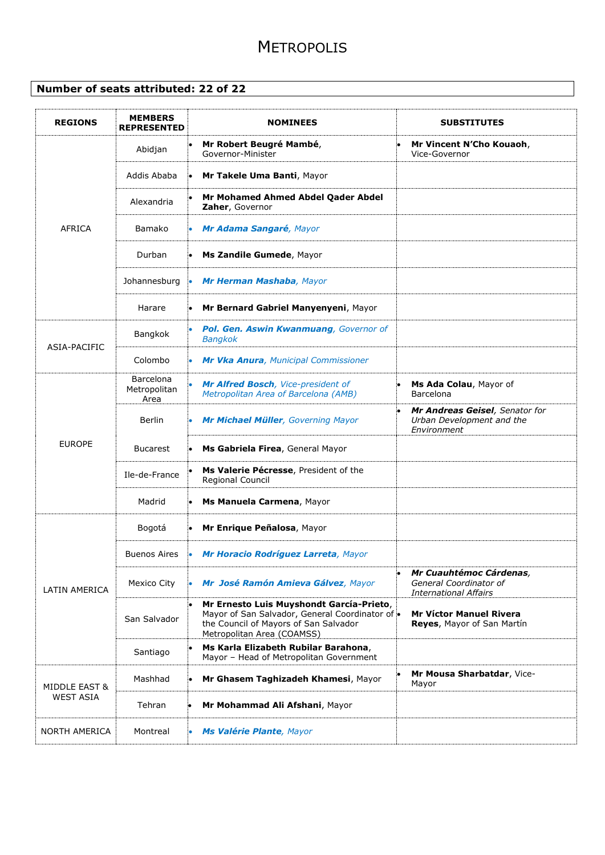### **METROPOLIS**

#### **Number of seats attributed: 22 of 22**

| <b>MEMBERS</b><br><b>REPRESENTED</b>     | <b>NOMINEES</b>                                                                                                                                                  | <b>SUBSTITUTES</b>                                                                |
|------------------------------------------|------------------------------------------------------------------------------------------------------------------------------------------------------------------|-----------------------------------------------------------------------------------|
| Abidjan                                  | Mr Robert Beugré Mambé,<br>Governor-Minister                                                                                                                     | Mr Vincent N'Cho Kouaoh,<br>Vice-Governor                                         |
| Addis Ababa                              | Mr Takele Uma Banti, Mayor                                                                                                                                       |                                                                                   |
| Alexandria                               | Mr Mohamed Ahmed Abdel Qader Abdel<br>Zaher, Governor                                                                                                            |                                                                                   |
| Bamako                                   | Mr Adama Sangaré, Mayor                                                                                                                                          |                                                                                   |
| Durban                                   | Ms Zandile Gumede, Mayor                                                                                                                                         |                                                                                   |
| Johannesburg                             | Mr Herman Mashaba, Mayor                                                                                                                                         |                                                                                   |
| Harare                                   | Mr Bernard Gabriel Manyenyeni, Mayor                                                                                                                             |                                                                                   |
| Bangkok                                  | Pol. Gen. Aswin Kwanmuang, Governor of<br><b>Bangkok</b>                                                                                                         |                                                                                   |
| Colombo                                  | Mr Vka Anura, Municipal Commissioner                                                                                                                             |                                                                                   |
| <b>Barcelona</b><br>Metropolitan<br>Area | Mr Alfred Bosch, Vice-president of<br>Metropolitan Area of Barcelona (AMB)                                                                                       | Ms Ada Colau, Mayor of<br>Barcelona                                               |
| Berlin                                   | Mr Michael Müller, Governing Mayor                                                                                                                               | Mr Andreas Geisel, Senator for<br>Urban Development and the<br>Environment        |
| <b>Bucarest</b>                          | Ms Gabriela Firea, General Mayor                                                                                                                                 |                                                                                   |
| Ile-de-France                            | Ms Valerie Pécresse, President of the<br>Regional Council                                                                                                        |                                                                                   |
| Madrid                                   | Ms Manuela Carmena, Mayor                                                                                                                                        |                                                                                   |
| Bogotá                                   | Mr Enrique Peñalosa, Mayor                                                                                                                                       |                                                                                   |
| Buenos Aires                             |                                                                                                                                                                  |                                                                                   |
| Mexico City                              | Mr José Ramón Amieva Gálvez, Mayor                                                                                                                               | Mr Cuauhtémoc Cárdenas,<br>General Coordinator of<br><b>International Affairs</b> |
| San Salvador                             | Mr Ernesto Luis Muyshondt García-Prieto,<br>Mayor of San Salvador, General Coordinator of<br>the Council of Mayors of San Salvador<br>Metropolitan Area (COAMSS) | <b>Mr Víctor Manuel Rivera</b><br>Reyes, Mayor of San Martín                      |
| Santiago                                 | Ms Karla Elizabeth Rubilar Barahona,<br>Mayor - Head of Metropolitan Government                                                                                  |                                                                                   |
| Mashhad                                  | Mr Ghasem Taghizadeh Khamesi, Mayor                                                                                                                              | Mr Mousa Sharbatdar, Vice-<br>Mayor                                               |
| Tehran                                   | Mr Mohammad Ali Afshani, Mayor                                                                                                                                   |                                                                                   |
| Montreal                                 | Ms Valérie Plante, Mayor                                                                                                                                         |                                                                                   |
|                                          |                                                                                                                                                                  | $\bullet$<br>• Mr Horacio Rodríguez Larreta, Mayor                                |